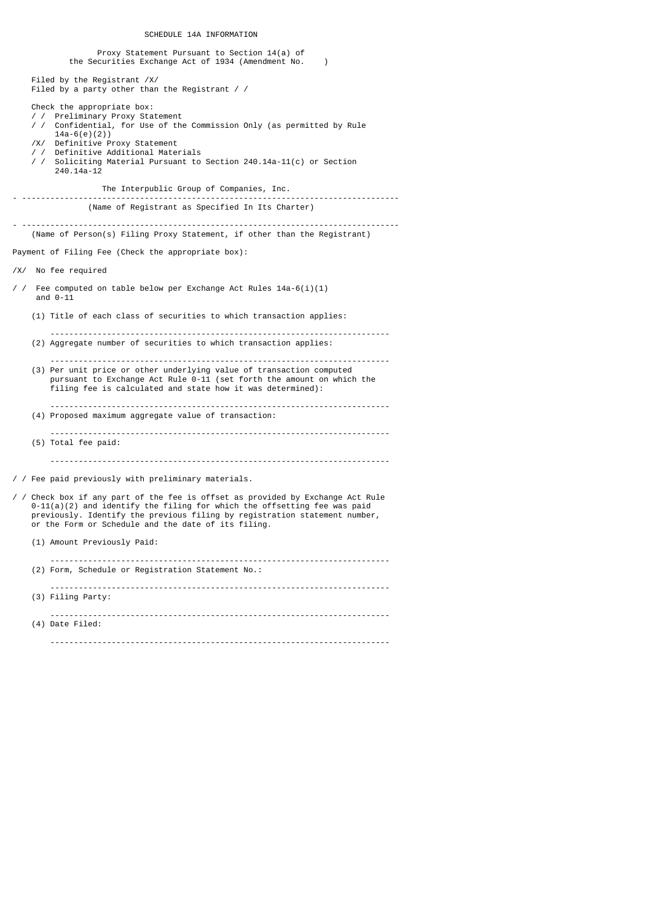SCHEDULE 14A INFORMATION

|            | Proxy Statement Pursuant to Section 14(a) of<br>the Securities Exchange Act of 1934 (Amendment No.<br>$\lambda$                                                                                                                                                                                                         |
|------------|-------------------------------------------------------------------------------------------------------------------------------------------------------------------------------------------------------------------------------------------------------------------------------------------------------------------------|
|            | Filed by the Registrant /X/<br>Filed by a party other than the Registrant / $/$                                                                                                                                                                                                                                         |
|            | Check the appropriate box:<br>/ / Preliminary Proxy Statement<br>/ / Confidential, for Use of the Commission Only (as permitted by Rule<br>$14a-6(e)(2)$<br>/X/ Definitive Proxy Statement<br>/ / Definitive Additional Materials<br>/ / Soliciting Material Pursuant to Section 240.14a-11(c) or Section<br>240.14a-12 |
|            | The Interpublic Group of Companies, Inc.                                                                                                                                                                                                                                                                                |
|            | (Name of Registrant as Specified In Its Charter)                                                                                                                                                                                                                                                                        |
|            | (Name of Person(s) Filing Proxy Statement, if other than the Registrant)                                                                                                                                                                                                                                                |
|            | Payment of Filing Fee (Check the appropriate box):                                                                                                                                                                                                                                                                      |
|            | /X/ No fee required                                                                                                                                                                                                                                                                                                     |
| $\prime$ / | Fee computed on table below per Exchange Act Rules $14a-6(i)(1)$<br>and $0-11$                                                                                                                                                                                                                                          |
|            | (1) Title of each class of securities to which transaction applies:                                                                                                                                                                                                                                                     |
|            | (2) Aggregate number of securities to which transaction applies:                                                                                                                                                                                                                                                        |
|            | (3) Per unit price or other underlying value of transaction computed<br>pursuant to Exchange Act Rule 0-11 (set forth the amount on which the<br>filing fee is calculated and state how it was determined):                                                                                                             |
|            | (4) Proposed maximum aggregate value of transaction:                                                                                                                                                                                                                                                                    |
|            | (5) Total fee paid:                                                                                                                                                                                                                                                                                                     |
|            |                                                                                                                                                                                                                                                                                                                         |
|            | / / Fee paid previously with preliminary materials.                                                                                                                                                                                                                                                                     |
|            | / / Check box if any part of the fee is offset as provided by Exchange Act Rule<br>$0-11(a)(2)$ and identify the filing for which the offsetting fee was paid<br>previously. Identify the previous filing by registration statement number,<br>or the Form or Schedule and the date of its filing.                      |
|            | (1) Amount Previously Paid:                                                                                                                                                                                                                                                                                             |
|            | (2) Form, Schedule or Registration Statement No.:                                                                                                                                                                                                                                                                       |
|            | (3) Filing Party:                                                                                                                                                                                                                                                                                                       |
|            | (4) Date Filed:                                                                                                                                                                                                                                                                                                         |
|            |                                                                                                                                                                                                                                                                                                                         |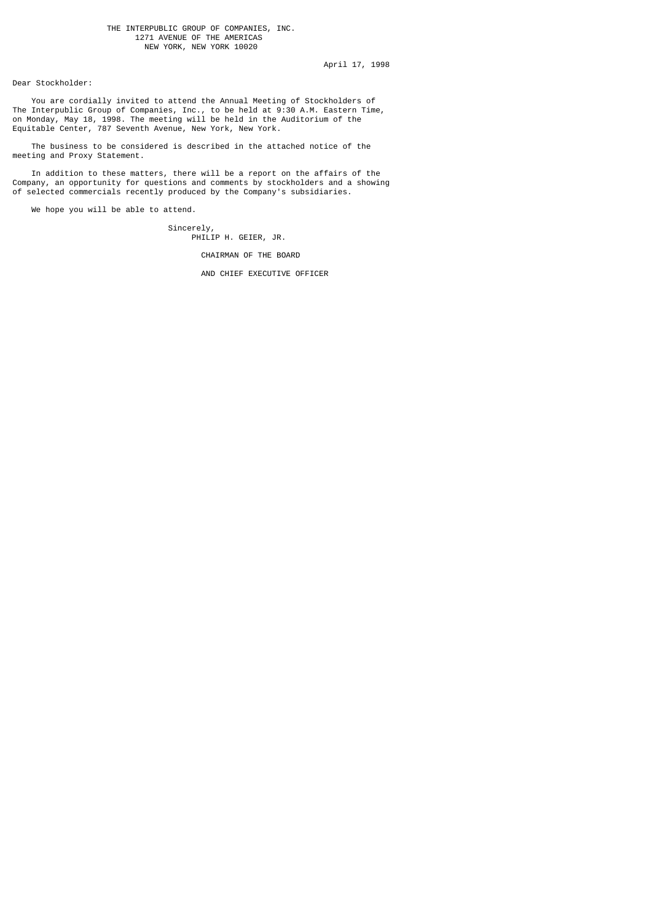### THE INTERPUBLIC GROUP OF COMPANIES, INC. 1271 AVENUE OF THE AMERICAS NEW YORK, NEW YORK 10020

April 17, 1998

Dear Stockholder:

 You are cordially invited to attend the Annual Meeting of Stockholders of The Interpublic Group of Companies, Inc., to be held at 9:30 A.M. Eastern Time, on Monday, May 18, 1998. The meeting will be held in the Auditorium of the Equitable Center, 787 Seventh Avenue, New York, New York.

 The business to be considered is described in the attached notice of the meeting and Proxy Statement.

 In addition to these matters, there will be a report on the affairs of the Company, an opportunity for questions and comments by stockholders and a showing of selected commercials recently produced by the Company's subsidiaries.

We hope you will be able to attend.

 $Sineerely,$ PHILIP H. GEIER, JR.

CHAIRMAN OF THE BOARD

AND CHIEF EXECUTIVE OFFICER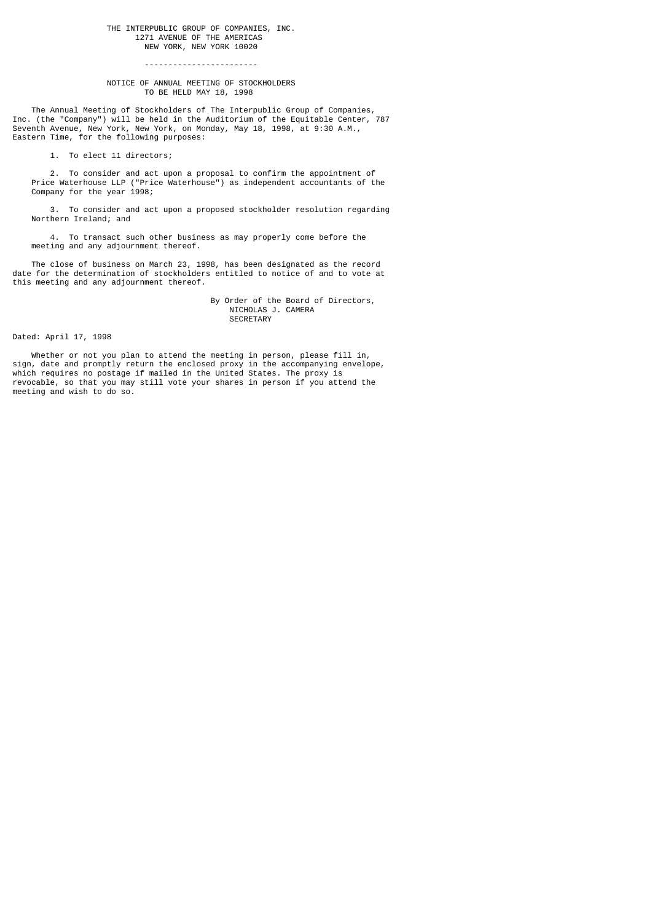### THE INTERPUBLIC GROUP OF COMPANIES, INC. 1271 AVENUE OF THE AMERICAS NEW YORK, NEW YORK 10020

# ------------------------

### NOTICE OF ANNUAL MEETING OF STOCKHOLDERS TO BE HELD MAY 18, 1998

 The Annual Meeting of Stockholders of The Interpublic Group of Companies, Inc. (the "Company") will be held in the Auditorium of the Equitable Center, 787 Seventh Avenue, New York, New York, on Monday, May 18, 1998, at 9:30 A.M., Eastern Time, for the following purposes:

1. To elect 11 directors;

 2. To consider and act upon a proposal to confirm the appointment of Price Waterhouse LLP ("Price Waterhouse") as independent accountants of the Company for the year 1998;

 3. To consider and act upon a proposed stockholder resolution regarding Northern Ireland; and

 4. To transact such other business as may properly come before the meeting and any adjournment thereof.

 The close of business on March 23, 1998, has been designated as the record date for the determination of stockholders entitled to notice of and to vote at this meeting and any adjournment thereof.

> By Order of the Board of Directors, NICHOLAS J. CAMERA SECRETARY

Dated: April 17, 1998

 Whether or not you plan to attend the meeting in person, please fill in, sign, date and promptly return the enclosed proxy in the accompanying envelope, which requires no postage if mailed in the United States. The proxy is revocable, so that you may still vote your shares in person if you attend the meeting and wish to do so.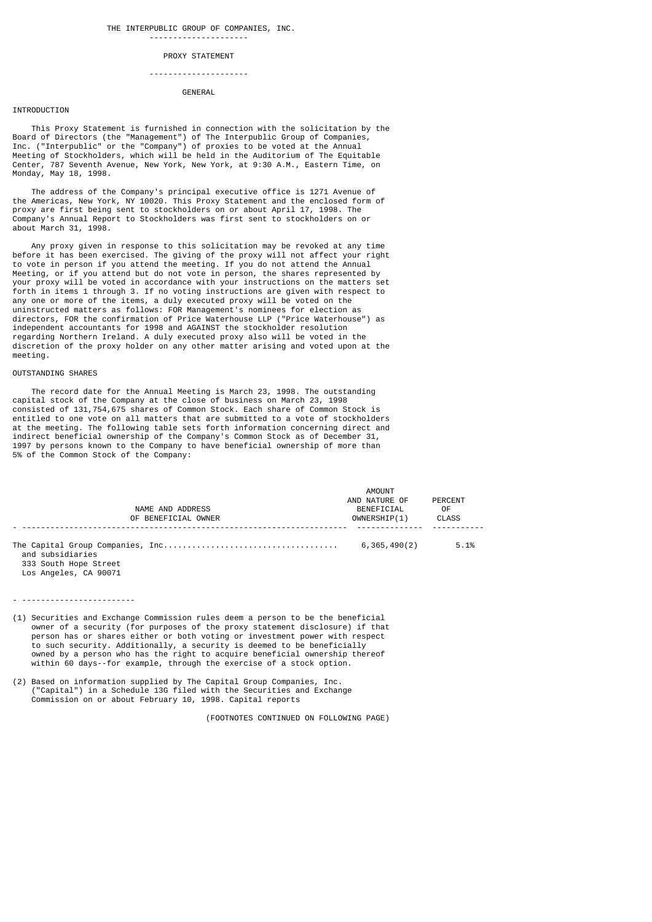# --------------------- PROXY STATEMENT

### ---------------------

# **GENERAL**

### INTRODUCTION

 This Proxy Statement is furnished in connection with the solicitation by the Board of Directors (the "Management") of The Interpublic Group of Companies, Inc. ("Interpublic" or the "Company") of proxies to be voted at the Annual Meeting of Stockholders, which will be held in the Auditorium of The Equitable Center, 787 Seventh Avenue, New York, New York, at 9:30 A.M., Eastern Time, on Monday, May 18, 1998.

 The address of the Company's principal executive office is 1271 Avenue of the Americas, New York, NY 10020. This Proxy Statement and the enclosed form of proxy are first being sent to stockholders on or about April 17, 1998. The Company's Annual Report to Stockholders was first sent to stockholders on or about March 31, 1998.

 Any proxy given in response to this solicitation may be revoked at any time before it has been exercised. The giving of the proxy will not affect your right to vote in person if you attend the meeting. If you do not attend the Annual Meeting, or if you attend but do not vote in person, the shares represented by your proxy will be voted in accordance with your instructions on the matters set forth in items 1 through 3. If no voting instructions are given with respect to any one or more of the items, a duly executed proxy will be voted on the uninstructed matters as follows: FOR Management's nominees for election as directors, FOR the confirmation of Price Waterhouse LLP ("Price Waterhouse") as independent accountants for 1998 and AGAINST the stockholder resolution regarding Northern Ireland. A duly executed proxy also will be voted in the discretion of the proxy holder on any other matter arising and voted upon at the meeting.

# OUTSTANDING SHARES

 The record date for the Annual Meeting is March 23, 1998. The outstanding capital stock of the Company at the close of business on March 23, 1998 consisted of 131,754,675 shares of Common Stock. Each share of Common Stock is entitled to one vote on all matters that are submitted to a vote of stockholders at the meeting. The following table sets forth information concerning direct and indirect beneficial ownership of the Company's Common Stock as of December 31, 1997 by persons known to the Company to have beneficial ownership of more than 5% of the Common Stock of the Company:

| NAME AND ADDRESS<br>OF BENEFICIAL OWNER                            | AMOUNT<br>AND NATURE OF<br>BENEFICIAL<br>OWNERSHIP(1) | PERCENT<br>0F<br><b>CLASS</b> |
|--------------------------------------------------------------------|-------------------------------------------------------|-------------------------------|
| and subsidiaries<br>333 South Hope Street<br>Los Angeles, CA 90071 | 6,365,490(2)                                          | 5.1%                          |

- ------------------------

- (1) Securities and Exchange Commission rules deem a person to be the beneficial owner of a security (for purposes of the proxy statement disclosure) if that person has or shares either or both voting or investment power with respect to such security. Additionally, a security is deemed to be beneficially owned by a person who has the right to acquire beneficial ownership thereof within 60 days--for example, through the exercise of a stock option.
- (2) Based on information supplied by The Capital Group Companies, Inc. ("Capital") in a Schedule 13G filed with the Securities and Exchange Commission on or about February 10, 1998. Capital reports

(FOOTNOTES CONTINUED ON FOLLOWING PAGE)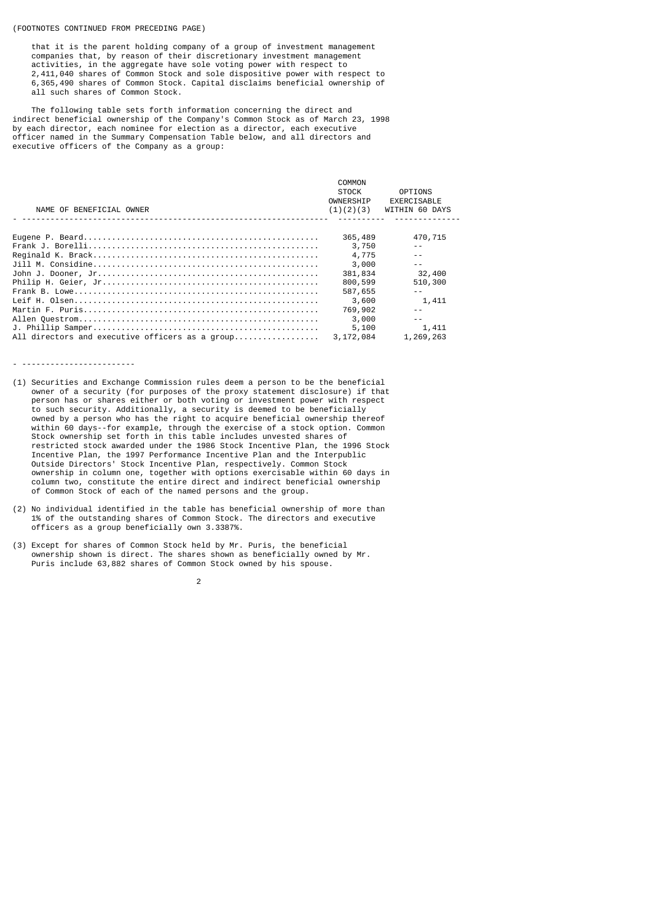### (FOOTNOTES CONTINUED FROM PRECEDING PAGE)

 that it is the parent holding company of a group of investment management companies that, by reason of their discretionary investment management activities, in the aggregate have sole voting power with respect to 2,411,040 shares of Common Stock and sole dispositive power with respect to 6,365,490 shares of Common Stock. Capital disclaims beneficial ownership of all such shares of Common Stock.

 The following table sets forth information concerning the direct and indirect beneficial ownership of the Company's Common Stock as of March 23, 1998 by each director, each nominee for election as a director, each executive officer named in the Summary Compensation Table below, and all directors and executive officers of the Company as a group:

| NAME OF BENEFICIAL OWNER                        | COMMON<br><b>STOCK</b><br>OWNERSHIP<br>(1)(2)(3) | <b>OPTIONS</b><br>EXERCISABLE<br>WITHIN 60 DAYS |
|-------------------------------------------------|--------------------------------------------------|-------------------------------------------------|
|                                                 | 365,489                                          | 470,715                                         |
|                                                 | 3,750                                            |                                                 |
|                                                 | 4,775                                            |                                                 |
|                                                 | 3,000                                            |                                                 |
|                                                 | 381,834                                          | 32,400                                          |
|                                                 | 800,599                                          | 510,300                                         |
|                                                 | 587,655                                          |                                                 |
|                                                 | 3,600                                            | 1,411                                           |
|                                                 | 769,902                                          |                                                 |
|                                                 | 3,000                                            |                                                 |
|                                                 | 5,100                                            | 1,411                                           |
| All directors and executive officers as a group | 3,172,084                                        | 1,269,263                                       |

### - ------------------------

- (1) Securities and Exchange Commission rules deem a person to be the beneficial owner of a security (for purposes of the proxy statement disclosure) if that person has or shares either or both voting or investment power with respect to such security. Additionally, a security is deemed to be beneficially owned by a person who has the right to acquire beneficial ownership thereof within 60 days--for example, through the exercise of a stock option. Common Stock ownership set forth in this table includes unvested shares of restricted stock awarded under the 1986 Stock Incentive Plan, the 1996 Stock Incentive Plan, the 1997 Performance Incentive Plan and the Interpublic Outside Directors' Stock Incentive Plan, respectively. Common Stock ownership in column one, together with options exercisable within 60 days in column two, constitute the entire direct and indirect beneficial ownership of Common Stock of each of the named persons and the group.
- (2) No individual identified in the table has beneficial ownership of more than 1% of the outstanding shares of Common Stock. The directors and executive officers as a group beneficially own 3.3387%.
- (3) Except for shares of Common Stock held by Mr. Puris, the beneficial ownership shown is direct. The shares shown as beneficially owned by Mr. Puris include 63,882 shares of Common Stock owned by his spouse.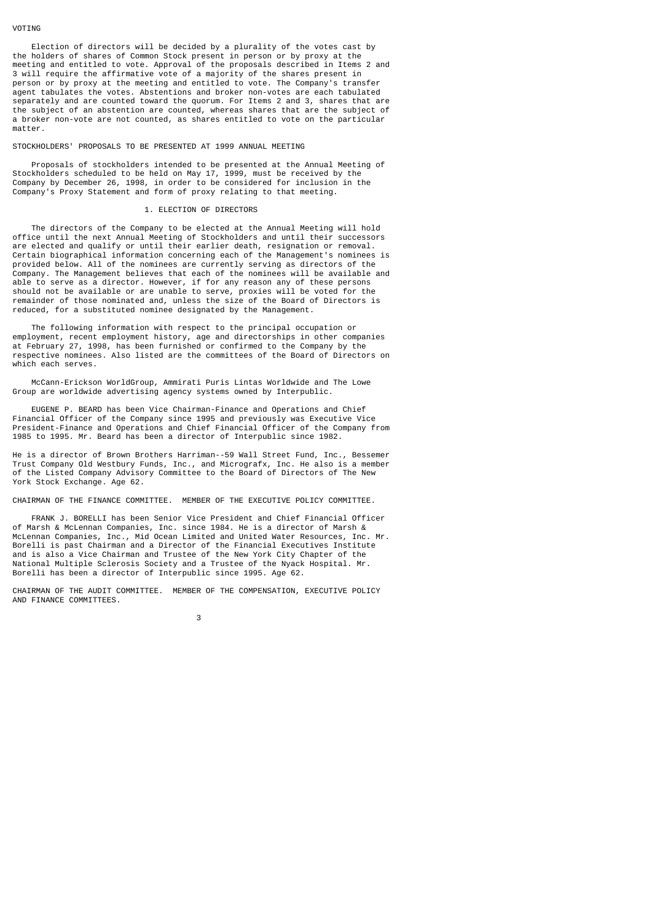### VOTING

 Election of directors will be decided by a plurality of the votes cast by the holders of shares of Common Stock present in person or by proxy at the meeting and entitled to vote. Approval of the proposals described in Items 2 and 3 will require the affirmative vote of a majority of the shares present in person or by proxy at the meeting and entitled to vote. The Company's transfer agent tabulates the votes. Abstentions and broker non-votes are each tabulated separately and are counted toward the quorum. For Items 2 and 3, shares that are the subject of an abstention are counted, whereas shares that are the subject of a broker non-vote are not counted, as shares entitled to vote on the particular matter.

#### STOCKHOLDERS' PROPOSALS TO BE PRESENTED AT 1999 ANNUAL MEETING

 Proposals of stockholders intended to be presented at the Annual Meeting of Stockholders scheduled to be held on May 17, 1999, must be received by the Company by December 26, 1998, in order to be considered for inclusion in the Company's Proxy Statement and form of proxy relating to that meeting.

### 1. ELECTION OF DIRECTORS

 The directors of the Company to be elected at the Annual Meeting will hold office until the next Annual Meeting of Stockholders and until their successors are elected and qualify or until their earlier death, resignation or removal. Certain biographical information concerning each of the Management's nominees is provided below. All of the nominees are currently serving as directors of the Company. The Management believes that each of the nominees will be available and able to serve as a director. However, if for any reason any of these persons should not be available or are unable to serve, proxies will be voted for the remainder of those nominated and, unless the size of the Board of Directors is reduced, for a substituted nominee designated by the Management.

 The following information with respect to the principal occupation or employment, recent employment history, age and directorships in other companies at February 27, 1998, has been furnished or confirmed to the Company by the respective nominees. Also listed are the committees of the Board of Directors on which each serves.

 McCann-Erickson WorldGroup, Ammirati Puris Lintas Worldwide and The Lowe Group are worldwide advertising agency systems owned by Interpublic.

 EUGENE P. BEARD has been Vice Chairman-Finance and Operations and Chief Financial Officer of the Company since 1995 and previously was Executive Vice President-Finance and Operations and Chief Financial Officer of the Company from 1985 to 1995. Mr. Beard has been a director of Interpublic since 1982.

He is a director of Brown Brothers Harriman--59 Wall Street Fund, Inc., Bessemer Trust Company Old Westbury Funds, Inc., and Micrografx, Inc. He also is a member of the Listed Company Advisory Committee to the Board of Directors of The New York Stock Exchange. Age 62.

CHAIRMAN OF THE FINANCE COMMITTEE. MEMBER OF THE EXECUTIVE POLICY COMMITTEE.

 FRANK J. BORELLI has been Senior Vice President and Chief Financial Officer of Marsh & McLennan Companies, Inc. since 1984. He is a director of Marsh & McLennan Companies, Inc., Mid Ocean Limited and United Water Resources, Inc. Mr. Borelli is past Chairman and a Director of the Financial Executives Institute and is also a Vice Chairman and Trustee of the New York City Chapter of the National Multiple Sclerosis Society and a Trustee of the Nyack Hospital. Mr. Borelli has been a director of Interpublic since 1995. Age 62.

CHAIRMAN OF THE AUDIT COMMITTEE. MEMBER OF THE COMPENSATION, EXECUTIVE POLICY AND FINANCE COMMITTEES.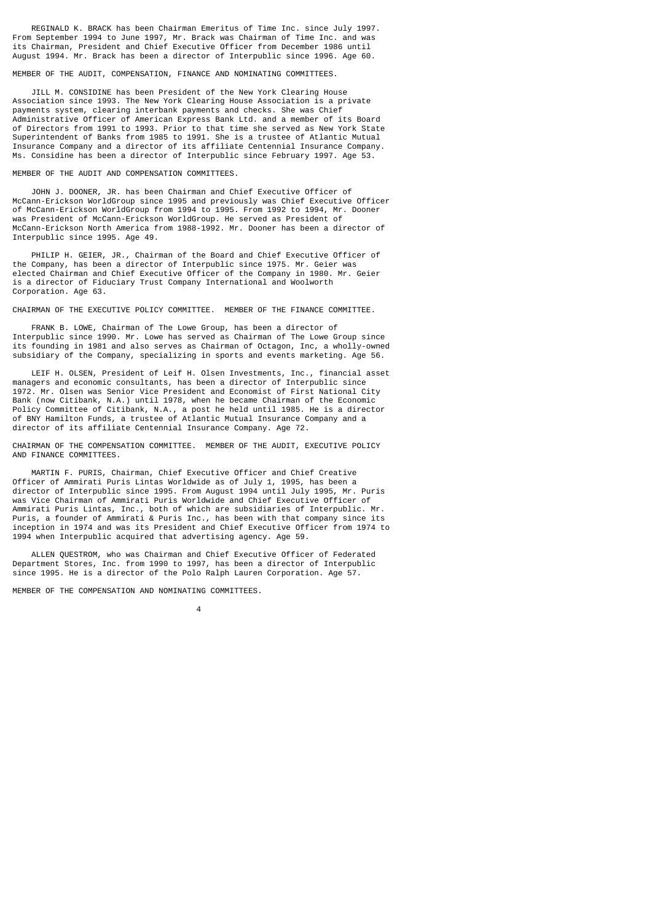REGINALD K. BRACK has been Chairman Emeritus of Time Inc. since July 1997. From September 1994 to June 1997, Mr. Brack was Chairman of Time Inc. and was its Chairman, President and Chief Executive Officer from December 1986 until August 1994. Mr. Brack has been a director of Interpublic since 1996. Age 60.

MEMBER OF THE AUDIT, COMPENSATION, FINANCE AND NOMINATING COMMITTEES.

 JILL M. CONSIDINE has been President of the New York Clearing House Association since 1993. The New York Clearing House Association is a private payments system, clearing interbank payments and checks. She was Chief Administrative Officer of American Express Bank Ltd. and a member of its Board of Directors from 1991 to 1993. Prior to that time she served as New York State Superintendent of Banks from 1985 to 1991. She is a trustee of Atlantic Mutual Insurance Company and a director of its affiliate Centennial Insurance Company. Ms. Considine has been a director of Interpublic since February 1997. Age 53.

MEMBER OF THE AUDIT AND COMPENSATION COMMITTEES.

 JOHN J. DOONER, JR. has been Chairman and Chief Executive Officer of McCann-Erickson WorldGroup since 1995 and previously was Chief Executive Officer of McCann-Erickson WorldGroup from 1994 to 1995. From 1992 to 1994, Mr. Dooner was President of McCann-Erickson WorldGroup. He served as President of McCann-Erickson North America from 1988-1992. Mr. Dooner has been a director of Interpublic since 1995. Age 49.

 PHILIP H. GEIER, JR., Chairman of the Board and Chief Executive Officer of the Company, has been a director of Interpublic since 1975. Mr. Geier was elected Chairman and Chief Executive Officer of the Company in 1980. Mr. Geier is a director of Fiduciary Trust Company International and Woolworth Corporation. Age 63.

CHAIRMAN OF THE EXECUTIVE POLICY COMMITTEE. MEMBER OF THE FINANCE COMMITTEE.

 FRANK B. LOWE, Chairman of The Lowe Group, has been a director of Interpublic since 1990. Mr. Lowe has served as Chairman of The Lowe Group since its founding in 1981 and also serves as Chairman of Octagon, Inc, a wholly-owned subsidiary of the Company, specializing in sports and events marketing. Age 56.

 LEIF H. OLSEN, President of Leif H. Olsen Investments, Inc., financial asset managers and economic consultants, has been a director of Interpublic since 1972. Mr. Olsen was Senior Vice President and Economist of First National City Bank (now Citibank, N.A.) until 1978, when he became Chairman of the Economic Policy Committee of Citibank, N.A., a post he held until 1985. He is a director of BNY Hamilton Funds, a trustee of Atlantic Mutual Insurance Company and a director of its affiliate Centennial Insurance Company. Age 72.

CHAIRMAN OF THE COMPENSATION COMMITTEE. MEMBER OF THE AUDIT, EXECUTIVE POLICY AND FINANCE COMMITTEES.

 MARTIN F. PURIS, Chairman, Chief Executive Officer and Chief Creative Officer of Ammirati Puris Lintas Worldwide as of July 1, 1995, has been a director of Interpublic since 1995. From August 1994 until July 1995, Mr. Puris was Vice Chairman of Ammirati Puris Worldwide and Chief Executive Officer of Ammirati Puris Lintas, Inc., both of which are subsidiaries of Interpublic. Mr. Puris, a founder of Ammirati & Puris Inc., has been with that company since its inception in 1974 and was its President and Chief Executive Officer from 1974 to 1994 when Interpublic acquired that advertising agency. Age 59.

 ALLEN QUESTROM, who was Chairman and Chief Executive Officer of Federated Department Stores, Inc. from 1990 to 1997, has been a director of Interpublic since 1995. He is a director of the Polo Ralph Lauren Corporation. Age 57.

MEMBER OF THE COMPENSATION AND NOMINATING COMMITTEES.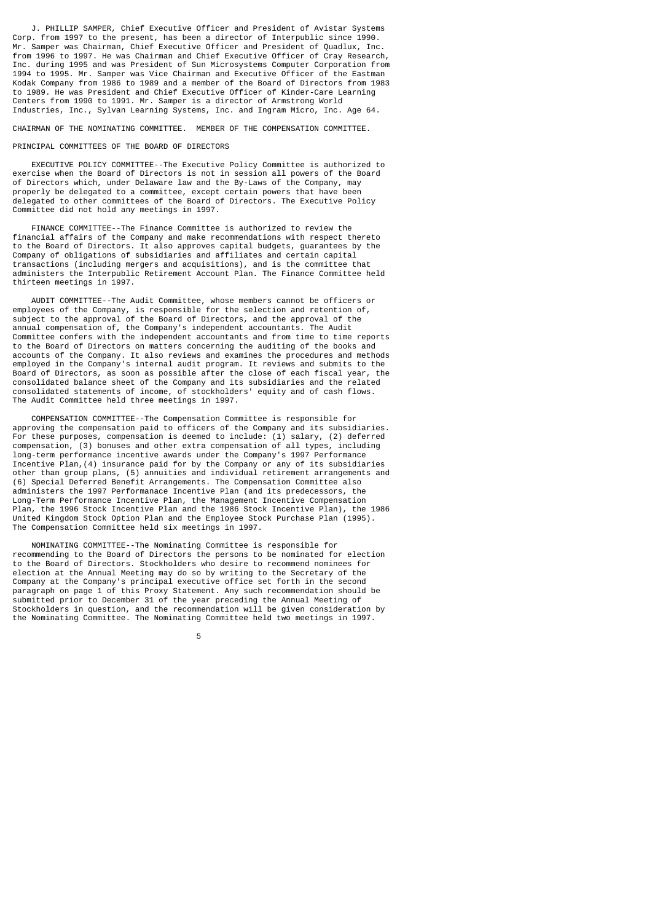J. PHILLIP SAMPER, Chief Executive Officer and President of Avistar Systems Corp. from 1997 to the present, has been a director of Interpublic since 1990. Mr. Samper was Chairman, Chief Executive Officer and President of Quadlux, Inc. from 1996 to 1997. He was Chairman and Chief Executive Officer of Cray Research, Inc. during 1995 and was President of Sun Microsystems Computer Corporation from 1994 to 1995. Mr. Samper was Vice Chairman and Executive Officer of the Eastman Kodak Company from 1986 to 1989 and a member of the Board of Directors from 1983 to 1989. He was President and Chief Executive Officer of Kinder-Care Learning Centers from 1990 to 1991. Mr. Samper is a director of Armstrong World Industries, Inc., Sylvan Learning Systems, Inc. and Ingram Micro, Inc. Age 64.

CHAIRMAN OF THE NOMINATING COMMITTEE. MEMBER OF THE COMPENSATION COMMITTEE.

#### PRINCIPAL COMMITTEES OF THE BOARD OF DIRECTORS

 EXECUTIVE POLICY COMMITTEE--The Executive Policy Committee is authorized to exercise when the Board of Directors is not in session all powers of the Board of Directors which, under Delaware law and the By-Laws of the Company, may properly be delegated to a committee, except certain powers that have been delegated to other committees of the Board of Directors. The Executive Policy Committee did not hold any meetings in 1997.

 FINANCE COMMITTEE--The Finance Committee is authorized to review the financial affairs of the Company and make recommendations with respect thereto to the Board of Directors. It also approves capital budgets, guarantees by the Company of obligations of subsidiaries and affiliates and certain capital transactions (including mergers and acquisitions), and is the committee that administers the Interpublic Retirement Account Plan. The Finance Committee held thirteen meetings in 1997.

 AUDIT COMMITTEE--The Audit Committee, whose members cannot be officers or employees of the Company, is responsible for the selection and retention of, subject to the approval of the Board of Directors, and the approval of the annual compensation of, the Company's independent accountants. The Audit Committee confers with the independent accountants and from time to time reports to the Board of Directors on matters concerning the auditing of the books and accounts of the Company. It also reviews and examines the procedures and methods employed in the Company's internal audit program. It reviews and submits to the Board of Directors, as soon as possible after the close of each fiscal year, the consolidated balance sheet of the Company and its subsidiaries and the related consolidated statements of income, of stockholders' equity and of cash flows. The Audit Committee held three meetings in 1997.

 COMPENSATION COMMITTEE--The Compensation Committee is responsible for approving the compensation paid to officers of the Company and its subsidiaries. For these purposes, compensation is deemed to include: (1) salary, (2) deferred compensation, (3) bonuses and other extra compensation of all types, including long-term performance incentive awards under the Company's 1997 Performance Incentive Plan,(4) insurance paid for by the Company or any of its subsidiaries other than group plans, (5) annuities and individual retirement arrangements and (6) Special Deferred Benefit Arrangements. The Compensation Committee also administers the 1997 Performanace Incentive Plan (and its predecessors, the Long-Term Performance Incentive Plan, the Management Incentive Compensation Plan, the 1996 Stock Incentive Plan and the 1986 Stock Incentive Plan), the 1986 United Kingdom Stock Option Plan and the Employee Stock Purchase Plan (1995). The Compensation Committee held six meetings in 1997.

 NOMINATING COMMITTEE--The Nominating Committee is responsible for recommending to the Board of Directors the persons to be nominated for election to the Board of Directors. Stockholders who desire to recommend nominees for election at the Annual Meeting may do so by writing to the Secretary of the Company at the Company's principal executive office set forth in the second paragraph on page 1 of this Proxy Statement. Any such recommendation should be submitted prior to December 31 of the year preceding the Annual Meeting of Stockholders in question, and the recommendation will be given consideration by the Nominating Committee. The Nominating Committee held two meetings in 1997.

the contract of the contract of the contract of the contract of the contract of the contract of the contract o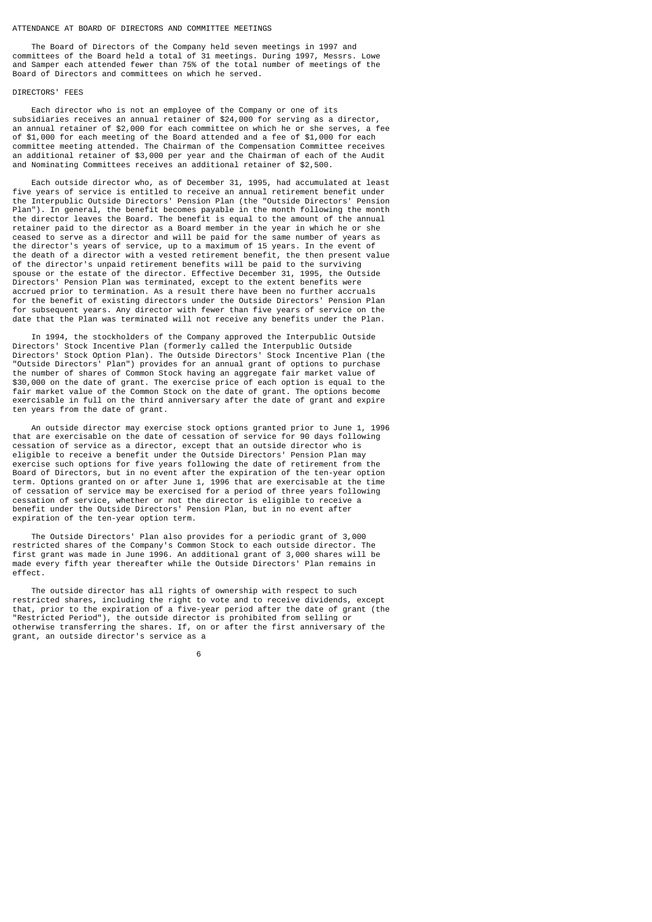### ATTENDANCE AT BOARD OF DIRECTORS AND COMMITTEE MEETINGS

 The Board of Directors of the Company held seven meetings in 1997 and committees of the Board held a total of 31 meetings. During 1997, Messrs. Lowe and Samper each attended fewer than 75% of the total number of meetings of the Board of Directors and committees on which he served.

### DIRECTORS' FEES

 Each director who is not an employee of the Company or one of its subsidiaries receives an annual retainer of \$24,000 for serving as a director, an annual retainer of \$2,000 for each committee on which he or she serves, a fee of \$1,000 for each meeting of the Board attended and a fee of \$1,000 for each committee meeting attended. The Chairman of the Compensation Committee receives an additional retainer of \$3,000 per year and the Chairman of each of the Audit and Nominating Committees receives an additional retainer of \$2,500.

 Each outside director who, as of December 31, 1995, had accumulated at least five years of service is entitled to receive an annual retirement benefit under the Interpublic Outside Directors' Pension Plan (the "Outside Directors' Pension Plan"). In general, the benefit becomes payable in the month following the month the director leaves the Board. The benefit is equal to the amount of the annual retainer paid to the director as a Board member in the year in which he or she ceased to serve as a director and will be paid for the same number of years as the director's years of service, up to a maximum of 15 years. In the event of the death of a director with a vested retirement benefit, the then present value of the director's unpaid retirement benefits will be paid to the surviving spouse or the estate of the director. Effective December 31, 1995, the Outside Directors' Pension Plan was terminated, except to the extent benefits were accrued prior to termination. As a result there have been no further accruals for the benefit of existing directors under the Outside Directors' Pension Plan for subsequent years. Any director with fewer than five years of service on the date that the Plan was terminated will not receive any benefits under the Plan.

 In 1994, the stockholders of the Company approved the Interpublic Outside Directors' Stock Incentive Plan (formerly called the Interpublic Outside Directors' Stock Option Plan). The Outside Directors' Stock Incentive Plan (the "Outside Directors' Plan") provides for an annual grant of options to purchase the number of shares of Common Stock having an aggregate fair market value of \$30,000 on the date of grant. The exercise price of each option is equal to the fair market value of the Common Stock on the date of grant. The options become exercisable in full on the third anniversary after the date of grant and expire ten years from the date of grant.

 An outside director may exercise stock options granted prior to June 1, 1996 that are exercisable on the date of cessation of service for 90 days following cessation of service as a director, except that an outside director who is eligible to receive a benefit under the Outside Directors' Pension Plan may exercise such options for five years following the date of retirement from the Board of Directors, but in no event after the expiration of the ten-year option term. Options granted on or after June 1, 1996 that are exercisable at the time of cessation of service may be exercised for a period of three years following cessation of service, whether or not the director is eligible to receive a benefit under the Outside Directors' Pension Plan, but in no event after expiration of the ten-year option term.

 The Outside Directors' Plan also provides for a periodic grant of 3,000 restricted shares of the Company's Common Stock to each outside director. The first grant was made in June 1996. An additional grant of 3,000 shares will be made every fifth year thereafter while the Outside Directors' Plan remains in effect.

 The outside director has all rights of ownership with respect to such restricted shares, including the right to vote and to receive dividends, except that, prior to the expiration of a five-year period after the date of grant (the "Restricted Period"), the outside director is prohibited from selling or otherwise transferring the shares. If, on or after the first anniversary of the grant, an outside director's service as a

 $\sim$  6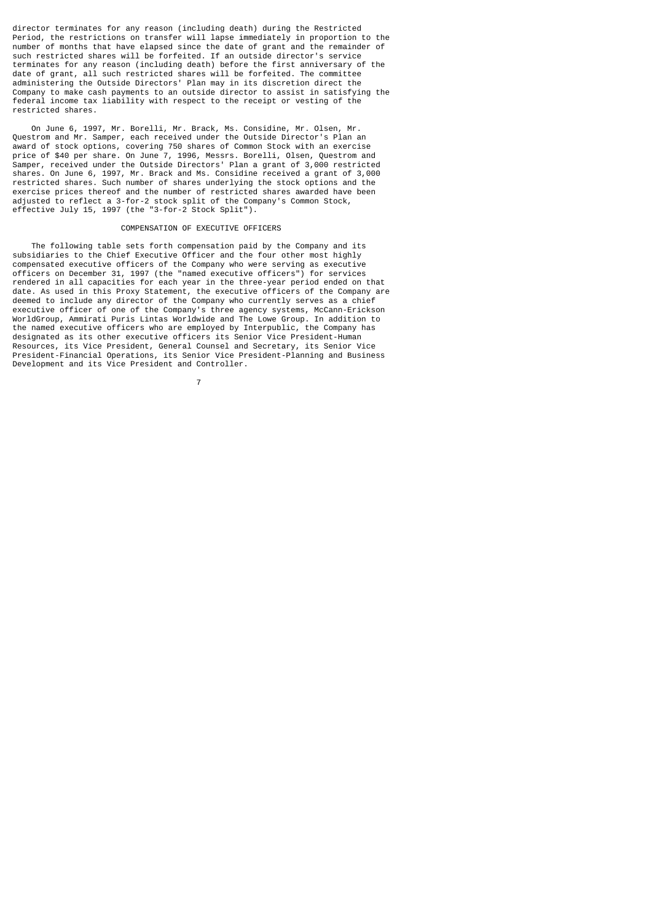director terminates for any reason (including death) during the Restricted Period, the restrictions on transfer will lapse immediately in proportion to the number of months that have elapsed since the date of grant and the remainder of such restricted shares will be forfeited. If an outside director's service terminates for any reason (including death) before the first anniversary of the date of grant, all such restricted shares will be forfeited. The committee administering the Outside Directors' Plan may in its discretion direct the Company to make cash payments to an outside director to assist in satisfying the federal income tax liability with respect to the receipt or vesting of the restricted shares.

 On June 6, 1997, Mr. Borelli, Mr. Brack, Ms. Considine, Mr. Olsen, Mr. Questrom and Mr. Samper, each received under the Outside Director's Plan an award of stock options, covering 750 shares of Common Stock with an exercise price of \$40 per share. On June 7, 1996, Messrs. Borelli, Olsen, Questrom and Samper, received under the Outside Directors' Plan a grant of 3,000 restricted shares. On June 6, 1997, Mr. Brack and Ms. Considine received a grant of 3,000 restricted shares. Such number of shares underlying the stock options and the exercise prices thereof and the number of restricted shares awarded have been adjusted to reflect a 3-for-2 stock split of the Company's Common Stock, effective July 15, 1997 (the "3-for-2 Stock Split").

# COMPENSATION OF EXECUTIVE OFFICERS

 The following table sets forth compensation paid by the Company and its subsidiaries to the Chief Executive Officer and the four other most highly compensated executive officers of the Company who were serving as executive officers on December 31, 1997 (the "named executive officers") for services rendered in all capacities for each year in the three-year period ended on that date. As used in this Proxy Statement, the executive officers of the Company are deemed to include any director of the Company who currently serves as a chief executive officer of one of the Company's three agency systems, McCann-Erickson WorldGroup, Ammirati Puris Lintas Worldwide and The Lowe Group. In addition to the named executive officers who are employed by Interpublic, the Company has designated as its other executive officers its Senior Vice President-Human Resources, its Vice President, General Counsel and Secretary, its Senior Vice President-Financial Operations, its Senior Vice President-Planning and Business Development and its Vice President and Controller.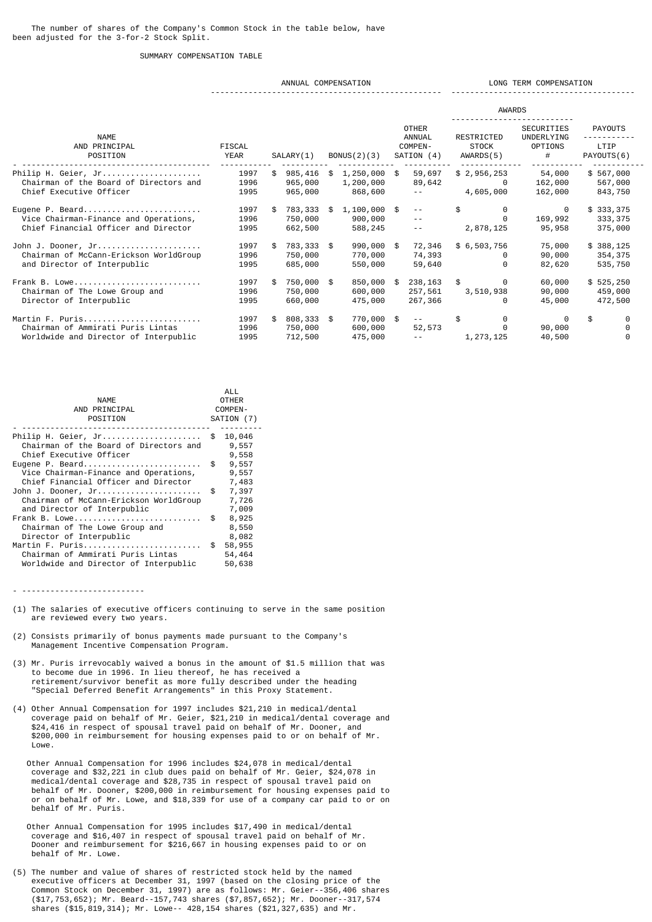# SUMMARY COMPENSATION TABLE

### ANNUAL COMPENSATION **LONG TERM COMPENSATION** ------------------------------------------------- ---------------------------------------

|                                        |        |     |              |                |                                                                                                                                                                                                                                                                                                                                                                                              | <b>AWARDS</b> |                          |                |  |
|----------------------------------------|--------|-----|--------------|----------------|----------------------------------------------------------------------------------------------------------------------------------------------------------------------------------------------------------------------------------------------------------------------------------------------------------------------------------------------------------------------------------------------|---------------|--------------------------|----------------|--|
| <b>NAME</b>                            |        |     |              |                | <b>OTHER</b><br>ANNUAL                                                                                                                                                                                                                                                                                                                                                                       | RESTRICTED    | SECURITIES<br>UNDERLYING | <b>PAYOUTS</b> |  |
| AND PRINCIPAL                          | FISCAL |     |              |                | COMPEN-                                                                                                                                                                                                                                                                                                                                                                                      | STOCK         | OPTIONS                  | LTIP           |  |
| POSITION                               | YEAR   |     | SALARY(1)    | BONUS(2)(3)    | SATION (4)                                                                                                                                                                                                                                                                                                                                                                                   | AWARDS(5)     | #                        | PAYOUTS(6)     |  |
| Philip H. Geier, Jr                    | 1997   | \$  | 985,416 \$   | 1,250,000 \$   | 59,697                                                                                                                                                                                                                                                                                                                                                                                       | \$2,956,253   | 54,000                   | \$567,000      |  |
| Chairman of the Board of Directors and | 1996   |     | 965,000      | 1,200,000      | 89,642                                                                                                                                                                                                                                                                                                                                                                                       | 0             | 162,000                  | 567,000        |  |
| Chief Executive Officer                | 1995   |     | 965,000      | 868,600        | $\sim$ $\sim$                                                                                                                                                                                                                                                                                                                                                                                | 4,605,000     | 162,000                  | 843,750        |  |
| Eugene P. Beard                        | 1997   | \$  | 783,333 \$   | $1,100,000$ \$ | $\sim$ $\sim$                                                                                                                                                                                                                                                                                                                                                                                | \$            | 0                        | \$333,375      |  |
| Vice Chairman-Finance and Operations,  | 1996   |     | 750,000      | 900,000        | $\sim$ $\sim$                                                                                                                                                                                                                                                                                                                                                                                | 0             | 169,992                  | 333, 375       |  |
| Chief Financial Officer and Director   | 1995   |     | 662,500      | 588,245        | $\frac{1}{2} \frac{1}{2} \frac{1}{2} \frac{1}{2} \frac{1}{2} \frac{1}{2} \frac{1}{2} \frac{1}{2} \frac{1}{2} \frac{1}{2} \frac{1}{2} \frac{1}{2} \frac{1}{2} \frac{1}{2} \frac{1}{2} \frac{1}{2} \frac{1}{2} \frac{1}{2} \frac{1}{2} \frac{1}{2} \frac{1}{2} \frac{1}{2} \frac{1}{2} \frac{1}{2} \frac{1}{2} \frac{1}{2} \frac{1}{2} \frac{1}{2} \frac{1}{2} \frac{1}{2} \frac{1}{2} \frac{$ | 2,878,125     | 95,958                   | 375,000        |  |
| John J. Dooner, Jr                     | 1997   | \$  | 783,333 \$   | 990,000        | \$<br>72,346                                                                                                                                                                                                                                                                                                                                                                                 | \$6,503,756   | 75,000                   | \$388,125      |  |
| Chairman of McCann-Erickson WorldGroup | 1996   |     | 750,000      | 770,000        | 74,393                                                                                                                                                                                                                                                                                                                                                                                       | 0             | 90,000                   | 354,375        |  |
| and Director of Interpublic            | 1995   |     | 685,000      | 550,000        | 59,640                                                                                                                                                                                                                                                                                                                                                                                       | 0             | 82,620                   | 535,750        |  |
| Frank B. Lowe                          | 1997   | \$. | 750,000 \$   | 850,000        | \$<br>238,163                                                                                                                                                                                                                                                                                                                                                                                | \$<br>0       | 60,000                   | \$525, 250     |  |
| Chairman of The Lowe Group and         | 1996   |     | 750,000      | 600,000        | 257,561                                                                                                                                                                                                                                                                                                                                                                                      | 3,510,938     | 90,000                   | 459,000        |  |
| Director of Interpublic                | 1995   |     | 660,000      | 475,000        | 267,366                                                                                                                                                                                                                                                                                                                                                                                      | 0             | 45,000                   | 472,500        |  |
| Martin F. Puris                        | 1997   | \$  | $808,333$ \$ | 770,000 \$     | $\frac{1}{2}$                                                                                                                                                                                                                                                                                                                                                                                | \$<br>0       | 0                        | \$<br>0        |  |
| Chairman of Ammirati Puris Lintas      | 1996   |     | 750,000      | 600,000        | 52,573                                                                                                                                                                                                                                                                                                                                                                                       |               | 90,000                   |                |  |
| Worldwide and Director of Interpublic  | 1995   |     | 712,500      | 475,000        |                                                                                                                                                                                                                                                                                                                                                                                              | 1,273,125     | 40,500                   | 0              |  |

| <b>NAME</b><br>AND PRINCIPAL<br>POSITION                                                         | ALL<br><b>OTHER</b><br>COMPEN-<br>SATION (7) |                          |  |
|--------------------------------------------------------------------------------------------------|----------------------------------------------|--------------------------|--|
| Philip H. Geier, Jr<br>Chairman of the Board of Directors and<br>Chief Executive Officer         | \$                                           | 10,046<br>9,557<br>9,558 |  |
| Eugene P. Beard<br>Vice Chairman-Finance and Operations,<br>Chief Financial Officer and Director | \$                                           | 9,557<br>9,557<br>7,483  |  |
| John J. Dooner, Jr<br>Chairman of McCann-Erickson WorldGroup                                     | \$                                           | 7,397<br>7,726           |  |
| and Director of Interpublic<br>Frank B. Lowe<br>Chairman of The Lowe Group and                   | \$                                           | 7,009<br>8,925<br>8,550  |  |
| Director of Interpublic<br>Martin F. Puris                                                       | \$                                           | 8,082<br>58,955          |  |
| Chairman of Ammirati Puris Lintas<br>Worldwide and Director of Interpublic                       |                                              | 54,464<br>50,638         |  |

- --------------------------
- (1) The salaries of executive officers continuing to serve in the same position are reviewed every two years.
- (2) Consists primarily of bonus payments made pursuant to the Company's Management Incentive Compensation Program.
- (3) Mr. Puris irrevocably waived a bonus in the amount of \$1.5 million that was to become due in 1996. In lieu thereof, he has received a retirement/survivor benefit as more fully described under the heading "Special Deferred Benefit Arrangements" in this Proxy Statement.
- (4) Other Annual Compensation for 1997 includes \$21,210 in medical/dental coverage paid on behalf of Mr. Geier, \$21,210 in medical/dental coverage and \$24,416 in respect of spousal travel paid on behalf of Mr. Dooner, and \$200,000 in reimbursement for housing expenses paid to or on behalf of Mr. Lowe.

 Other Annual Compensation for 1996 includes \$24,078 in medical/dental coverage and \$32,221 in club dues paid on behalf of Mr. Geier, \$24,078 in medical/dental coverage and \$28,735 in respect of spousal travel paid on behalf of Mr. Dooner, \$200,000 in reimbursement for housing expenses paid to or on behalf of Mr. Lowe, and \$18,339 for use of a company car paid to or on behalf of Mr. Puris.

- Other Annual Compensation for 1995 includes \$17,490 in medical/dental coverage and \$16,407 in respect of spousal travel paid on behalf of Mr. Dooner and reimbursement for \$216,667 in housing expenses paid to or on behalf of Mr. Lowe.
- (5) The number and value of shares of restricted stock held by the named executive officers at December 31, 1997 (based on the closing price of the Common Stock on December 31, 1997) are as follows: Mr. Geier--356,406 shares (\$17,753,652); Mr. Beard--157,743 shares (\$7,857,652); Mr. Dooner--317,574 shares (\$15,819,314); Mr. Lowe-- 428,154 shares (\$21,327,635) and Mr.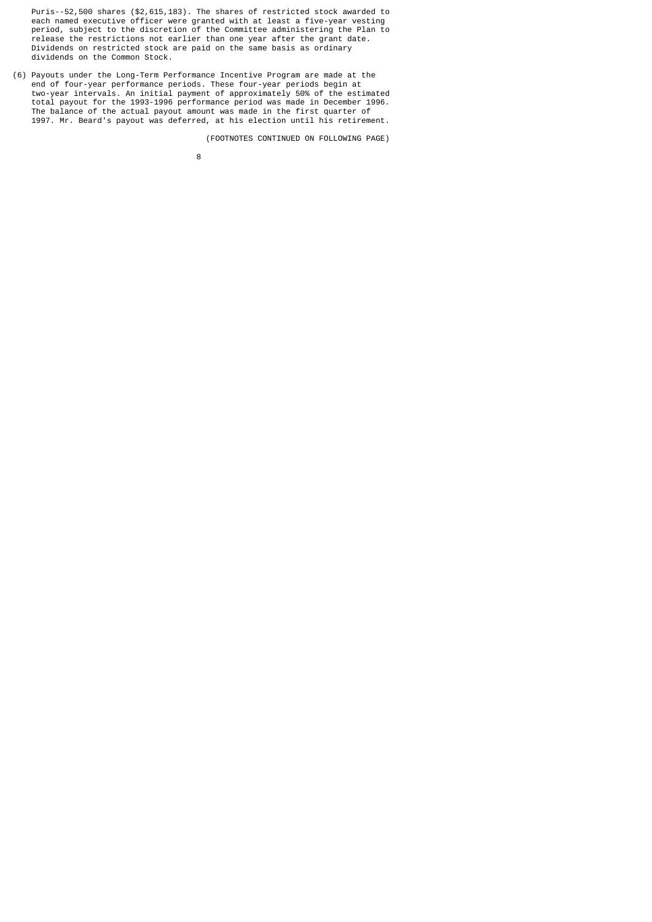Puris--52,500 shares (\$2,615,183). The shares of restricted stock awarded to each named executive officer were granted with at least a five-year vesting period, subject to the discretion of the Committee administering the Plan to release the restrictions not earlier than one year after the grant date. Dividends on restricted stock are paid on the same basis as ordinary dividends on the Common Stock.

(6) Payouts under the Long-Term Performance Incentive Program are made at the end of four-year performance periods. These four-year periods begin at two-year intervals. An initial payment of approximately 50% of the estimated total payout for the 1993-1996 performance period was made in December 1996. The balance of the actual payout amount was made in the first quarter of 1997. Mr. Beard's payout was deferred, at his election until his retirement.

(FOOTNOTES CONTINUED ON FOLLOWING PAGE)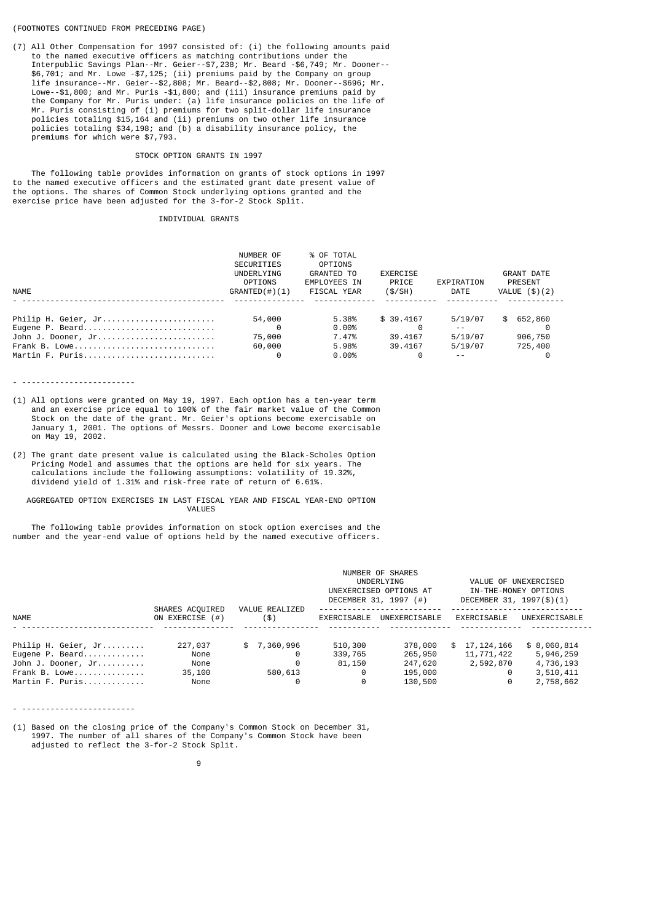### (FOOTNOTES CONTINUED FROM PRECEDING PAGE)

(7) All Other Compensation for 1997 consisted of: (i) the following amounts paid to the named executive officers as matching contributions under the Interpublic Savings Plan--Mr. Geier--\$7,238; Mr. Beard -\$6,749; Mr. Dooner-- \$6,701; and Mr. Lowe -\$7,125; (ii) premiums paid by the Company on group life insurance--Mr. Geier--\$2,808; Mr. Beard--\$2,808; Mr. Dooner--\$696; Mr. Lowe--\$1,800; and Mr. Puris -\$1,800; and (iii) insurance premiums paid by the Company for Mr. Puris under: (a) life insurance policies on the life of Mr. Puris consisting of (i) premiums for two split-dollar life insurance policies totaling \$15,164 and (ii) premiums on two other life insurance policies totaling \$34,198; and (b) a disability insurance policy, the premiums for which were \$7,793.

### STOCK OPTION GRANTS IN 1997

 The following table provides information on grants of stock options in 1997 to the named executive officers and the estimated grant date present value of the options. The shares of Common Stock underlying options granted and the exercise price have been adjusted for the 3-for-2 Stock Split.

# INDIVIDUAL GRANTS

|                     | NUMBER OF         | % OF TOTAL   |            |               |                 |
|---------------------|-------------------|--------------|------------|---------------|-----------------|
|                     | <b>SECURITIES</b> | OPTIONS      |            |               |                 |
|                     | UNDERLYING        | GRANTED TO   | EXERCISE   |               | GRANT DATE      |
|                     | OPTIONS           | EMPLOYEES IN | PRICE      | EXPIRATION    | PRESENT         |
| NAME                | $GRANTED(\#)(1)$  | FISCAL YEAR  | (S/SH)     | DATE          | VALUE $(\$)(2)$ |
|                     |                   |              |            |               |                 |
| Philip H. Geier, Jr | 54,000            | 5.38%        | \$ 39.4167 | 5/19/07       | \$652,860       |
| Eugene P. Beard     |                   | $0.00\%$     |            | $\sim$ $\sim$ |                 |
| John J. Dooner, Jr  | 75,000            | 7.47%        | 39.4167    | 5/19/07       | 906,750         |
| Frank B. Lowe       | 60,000            | 5.98%        | 39.4167    | 5/19/07       | 725,400         |
| Martin F. Puris     |                   | $0.00\%$     |            | $\sim$ $\sim$ |                 |

- ------------------------

- (1) All options were granted on May 19, 1997. Each option has a ten-year term and an exercise price equal to 100% of the fair market value of the Common Stock on the date of the grant. Mr. Geier's options become exercisable on January 1, 2001. The options of Messrs. Dooner and Lowe become exercisable on May 19, 2002.
- (2) The grant date present value is calculated using the Black-Scholes Option Pricing Model and assumes that the options are held for six years. The calculations include the following assumptions: volatility of 19.32%, dividend yield of 1.31% and risk-free rate of return of 6.61%.

 AGGREGATED OPTION EXERCISES IN LAST FISCAL YEAR AND FISCAL YEAR-END OPTION VALUES

 The following table provides information on stock option exercises and the number and the year-end value of options held by the named executive officers.

|                                                                                                  | SHARES ACQUIRED                           | VALUE REALIZED                               |                                        | NUMBER OF SHARES<br>UNDERLYING<br>UNEXERCISED OPTIONS AT<br>DECEMBER 31, 1997 (#) | VALUE OF UNEXERCISED<br>IN-THE-MONEY OPTIONS<br>DECEMBER 31, 1997(\$)(1) |                                                                 |
|--------------------------------------------------------------------------------------------------|-------------------------------------------|----------------------------------------------|----------------------------------------|-----------------------------------------------------------------------------------|--------------------------------------------------------------------------|-----------------------------------------------------------------|
| <b>NAME</b>                                                                                      | ON EXERCISE (#)                           | $($ \$)                                      | EXERCISABLE                            | UNEXERCISABLE                                                                     | EXERCISABLE                                                              | UNEXERCISABLE                                                   |
| Philip H. Geier, Jr<br>Eugene P. Beard<br>John J. Dooner, Jr<br>Frank B. Lowe<br>Martin F. Puris | 227,037<br>None<br>None<br>35,100<br>None | \$7,360,996<br>Θ<br>$\Theta$<br>580,613<br>0 | 510,300<br>339,765<br>81,150<br>0<br>0 | 378,000<br>265,950<br>247,620<br>195,000<br>130,500                               | 17,124,166<br>SS.<br>11,771,422<br>2,592,870<br>0<br>0                   | \$8,060,814<br>5,946,259<br>4,736,193<br>3,510,411<br>2,758,662 |

- ------------------------

(1) Based on the closing price of the Company's Common Stock on December 31, 1997. The number of all shares of the Company's Common Stock have been adjusted to reflect the 3-for-2 Stock Split.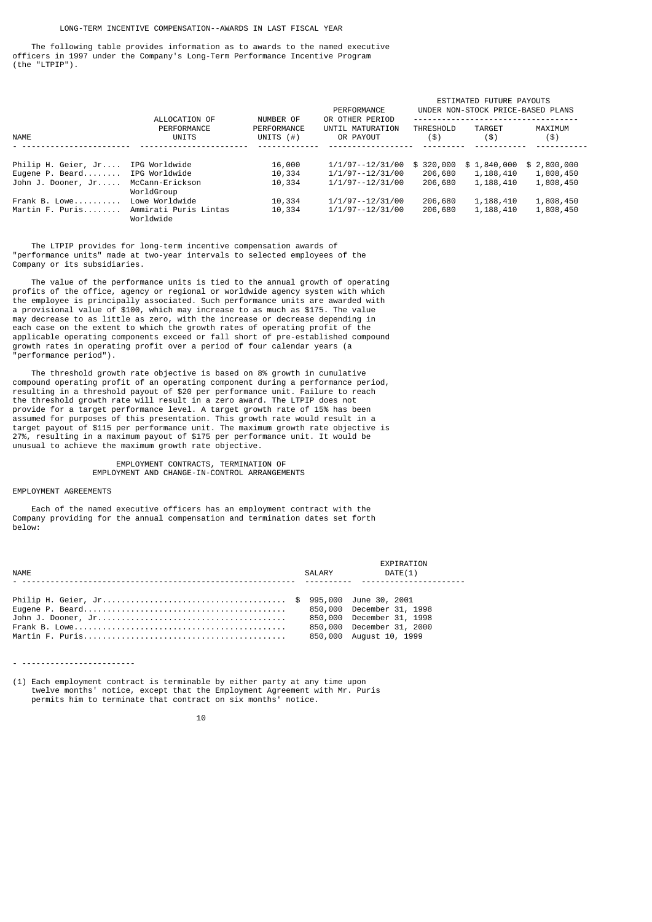### LONG-TERM INCENTIVE COMPENSATION--AWARDS IN LAST FISCAL YEAR

 The following table provides information as to awards to the named executive officers in 1997 under the Company's Long-Term Performance Incentive Program (the "LTPIP").

|                     | ALLOCATION OF                      |                                          | PERFORMANCE<br>OR OTHER PERIOD | ESTIMATED FUTURE PAYOUTS<br>UNDER NON-STOCK PRICE-BASED PLANS |                |                 |  |  |
|---------------------|------------------------------------|------------------------------------------|--------------------------------|---------------------------------------------------------------|----------------|-----------------|--|--|
| <b>NAME</b>         | PERFORMANCE<br>UNITS               | NUMBER OF<br>PERFORMANCE<br>UNITS $($ #) | UNTIL MATURATION<br>OR PAYOUT  | <b>THRESHOLD</b><br>(3)                                       | TARGET<br>(\$) | MAXIMUM<br>(\$) |  |  |
| Philip H. Geier, Jr | IPG Worldwide                      | 16,000                                   | 1/1/97--12/31/00               | \$320,000                                                     | \$1,840,000    | \$2,800,000     |  |  |
| Eugene P. Beard     | IPG Worldwide                      | 10,334                                   | 1/1/97--12/31/00               | 206,680                                                       | 1,188,410      | 1,808,450       |  |  |
| John J. Dooner, Jr  | McCann-Erickson<br>WorldGroup      | 10,334                                   | 1/1/97--12/31/00               | 206,680                                                       | 1,188,410      | 1,808,450       |  |  |
| Frank B. Lowe       | Lowe Worldwide                     | 10,334                                   | 1/1/97--12/31/00               | 206,680                                                       | 1,188,410      | 1,808,450       |  |  |
| Martin F. Puris     | Ammirati Puris Lintas<br>Worldwide | 10,334                                   | 1/1/97--12/31/00               | 206,680                                                       | 1,188,410      | 1,808,450       |  |  |

 The LTPIP provides for long-term incentive compensation awards of "performance units" made at two-year intervals to selected employees of the Company or its subsidiaries.

 The value of the performance units is tied to the annual growth of operating profits of the office, agency or regional or worldwide agency system with which the employee is principally associated. Such performance units are awarded with a provisional value of \$100, which may increase to as much as \$175. The value may decrease to as little as zero, with the increase or decrease depending in each case on the extent to which the growth rates of operating profit of the applicable operating components exceed or fall short of pre-established compound growth rates in operating profit over a period of four calendar years (a "performance period").

 The threshold growth rate objective is based on 8% growth in cumulative compound operating profit of an operating component during a performance period, resulting in a threshold payout of \$20 per performance unit. Failure to reach the threshold growth rate will result in a zero award. The LTPIP does not provide for a target performance level. A target growth rate of 15% has been assumed for purposes of this presentation. This growth rate would result in a target payout of \$115 per performance unit. The maximum growth rate objective is 27%, resulting in a maximum payout of \$175 per performance unit. It would be unusual to achieve the maximum growth rate objective.

> EMPLOYMENT CONTRACTS, TERMINATION OF EMPLOYMENT AND CHANGE-IN-CONTROL ARRANGEMENTS

#### EMPLOYMENT AGREEMENTS

 Each of the named executive officers has an employment contract with the Company providing for the annual compensation and termination dates set forth below:

| <b>NAME</b> | SALARY | EXPIRATION<br>DATE(1)                                |
|-------------|--------|------------------------------------------------------|
|             |        |                                                      |
|             |        | 850,000 December 31, 2000<br>850,000 August 10, 1999 |

- ------------------------

(1) Each employment contract is terminable by either party at any time upon twelve months' notice, except that the Employment Agreement with Mr. Puris permits him to terminate that contract on six months' notice.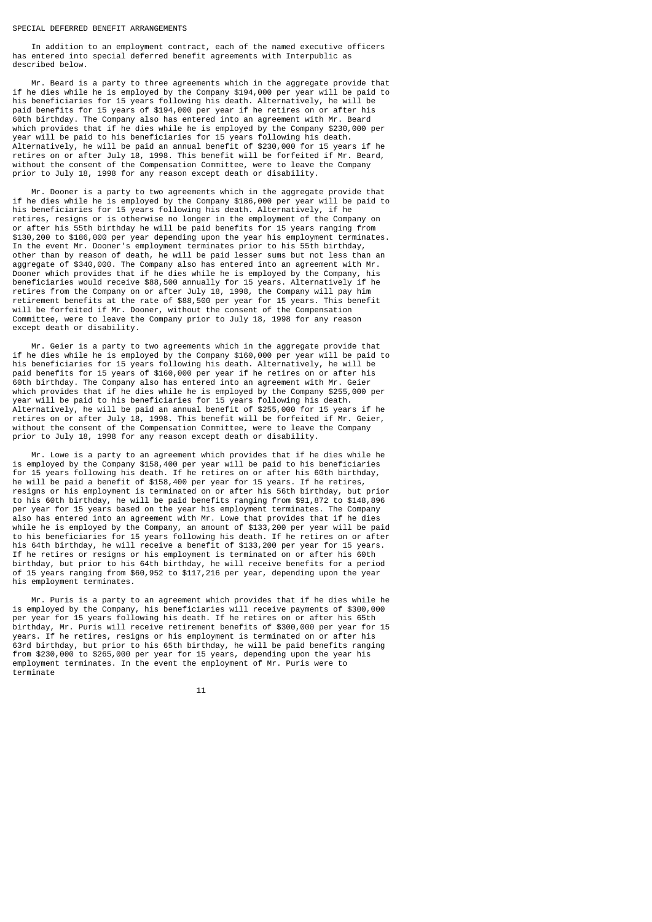### SPECIAL DEFERRED BENEFIT ARRANGEMENTS

 In addition to an employment contract, each of the named executive officers has entered into special deferred benefit agreements with Interpublic as described below.

 Mr. Beard is a party to three agreements which in the aggregate provide that if he dies while he is employed by the Company \$194,000 per year will be paid to his beneficiaries for 15 years following his death. Alternatively, he will be paid benefits for 15 years of \$194,000 per year if he retires on or after his 60th birthday. The Company also has entered into an agreement with Mr. Beard which provides that if he dies while he is employed by the Company \$230,000 per year will be paid to his beneficiaries for 15 years following his death. Alternatively, he will be paid an annual benefit of \$230,000 for 15 years if he retires on or after July 18, 1998. This benefit will be forfeited if Mr. Beard, without the consent of the Compensation Committee, were to leave the Company prior to July 18, 1998 for any reason except death or disability.

 Mr. Dooner is a party to two agreements which in the aggregate provide that if he dies while he is employed by the Company \$186,000 per year will be paid to his beneficiaries for 15 years following his death. Alternatively, if he retires, resigns or is otherwise no longer in the employment of the Company on or after his 55th birthday he will be paid benefits for 15 years ranging from \$130,200 to \$186,000 per year depending upon the year his employment terminates. In the event Mr. Dooner's employment terminates prior to his 55th birthday, other than by reason of death, he will be paid lesser sums but not less than an aggregate of \$340,000. The Company also has entered into an agreement with Mr. Dooner which provides that if he dies while he is employed by the Company, his beneficiaries would receive \$88,500 annually for 15 years. Alternatively if he retires from the Company on or after July 18, 1998, the Company will pay him retirement benefits at the rate of \$88,500 per year for 15 years. This benefit will be forfeited if Mr. Dooner, without the consent of the Compensation Committee, were to leave the Company prior to July 18, 1998 for any reason except death or disability.

 Mr. Geier is a party to two agreements which in the aggregate provide that if he dies while he is employed by the Company \$160,000 per year will be paid to his beneficiaries for 15 years following his death. Alternatively, he will be paid benefits for 15 years of \$160,000 per year if he retires on or after his 60th birthday. The Company also has entered into an agreement with Mr. Geier which provides that if he dies while he is employed by the Company \$255,000 per year will be paid to his beneficiaries for 15 years following his death. Alternatively, he will be paid an annual benefit of \$255,000 for 15 years if he retires on or after July 18, 1998. This benefit will be forfeited if Mr. Geier, without the consent of the Compensation Committee, were to leave the Company prior to July 18, 1998 for any reason except death or disability.

 Mr. Lowe is a party to an agreement which provides that if he dies while he is employed by the Company \$158,400 per year will be paid to his beneficiaries for 15 years following his death. If he retires on or after his 60th birthday, he will be paid a benefit of \$158,400 per year for 15 years. If he retires, resigns or his employment is terminated on or after his 56th birthday, but prior to his 60th birthday, he will be paid benefits ranging from \$91,872 to \$148,896 per year for 15 years based on the year his employment terminates. The Company also has entered into an agreement with Mr. Lowe that provides that if he dies while he is employed by the Company, an amount of \$133,200 per year will be paid to his beneficiaries for 15 years following his death. If he retires on or after his 64th birthday, he will receive a benefit of \$133,200 per year for 15 years. If he retires or resigns or his employment is terminated on or after his 60th birthday, but prior to his 64th birthday, he will receive benefits for a period of 15 years ranging from \$60,952 to \$117,216 per year, depending upon the year his employment terminates.

 Mr. Puris is a party to an agreement which provides that if he dies while he is employed by the Company, his beneficiaries will receive payments of \$300,000 per year for 15 years following his death. If he retires on or after his 65th birthday, Mr. Puris will receive retirement benefits of \$300,000 per year for 15 years. If he retires, resigns or his employment is terminated on or after his 63rd birthday, but prior to his 65th birthday, he will be paid benefits ranging from \$230,000 to \$265,000 per year for 15 years, depending upon the year his employment terminates. In the event the employment of Mr. Puris were to terminate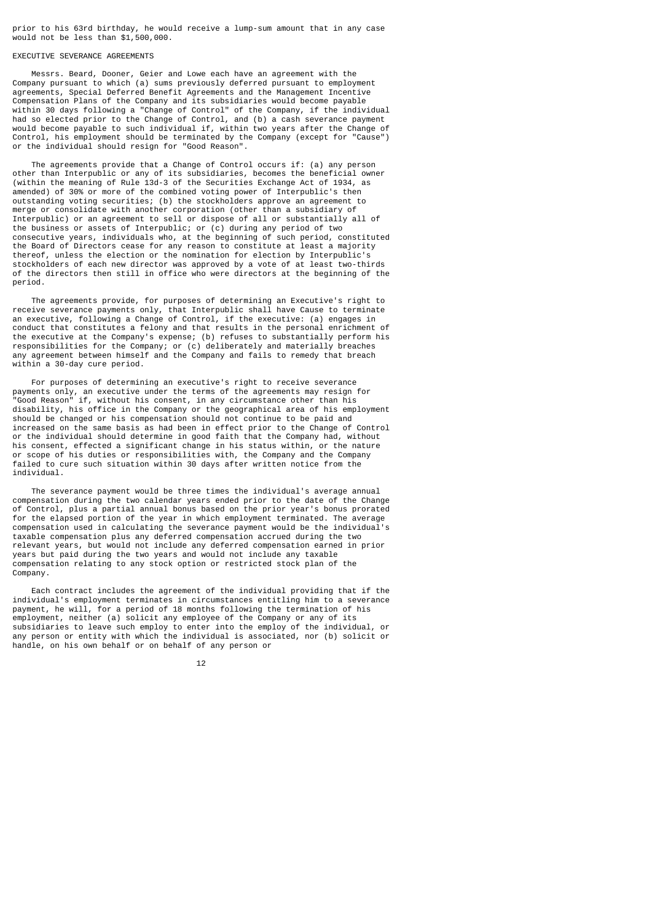prior to his 63rd birthday, he would receive a lump-sum amount that in any case would not be less than \$1,500,000.

# EXECUTIVE SEVERANCE AGREEMENTS

 Messrs. Beard, Dooner, Geier and Lowe each have an agreement with the Company pursuant to which (a) sums previously deferred pursuant to employment agreements, Special Deferred Benefit Agreements and the Management Incentive Compensation Plans of the Company and its subsidiaries would become payable within 30 days following a "Change of Control" of the Company, if the individual had so elected prior to the Change of Control, and (b) a cash severance payment would become payable to such individual if, within two years after the Change of Control, his employment should be terminated by the Company (except for "Cause") or the individual should resign for "Good Reason".

 The agreements provide that a Change of Control occurs if: (a) any person other than Interpublic or any of its subsidiaries, becomes the beneficial owner (within the meaning of Rule 13d-3 of the Securities Exchange Act of 1934, as amended) of 30% or more of the combined voting power of Interpublic's then outstanding voting securities; (b) the stockholders approve an agreement to merge or consolidate with another corporation (other than a subsidiary of Interpublic) or an agreement to sell or dispose of all or substantially all of the business or assets of Interpublic; or (c) during any period of two consecutive years, individuals who, at the beginning of such period, constituted the Board of Directors cease for any reason to constitute at least a majority thereof, unless the election or the nomination for election by Interpublic's stockholders of each new director was approved by a vote of at least two-thirds of the directors then still in office who were directors at the beginning of the period.

 The agreements provide, for purposes of determining an Executive's right to receive severance payments only, that Interpublic shall have Cause to terminate an executive, following a Change of Control, if the executive: (a) engages in conduct that constitutes a felony and that results in the personal enrichment of the executive at the Company's expense; (b) refuses to substantially perform his responsibilities for the Company; or (c) deliberately and materially breaches any agreement between himself and the Company and fails to remedy that breach within a 30-day cure period.

 For purposes of determining an executive's right to receive severance payments only, an executive under the terms of the agreements may resign for "Good Reason" if, without his consent, in any circumstance other than his disability, his office in the Company or the geographical area of his employment should be changed or his compensation should not continue to be paid and increased on the same basis as had been in effect prior to the Change of Control or the individual should determine in good faith that the Company had, without his consent, effected a significant change in his status within, or the nature or scope of his duties or responsibilities with, the Company and the Company failed to cure such situation within 30 days after written notice from the individual.

 The severance payment would be three times the individual's average annual compensation during the two calendar years ended prior to the date of the Change of Control, plus a partial annual bonus based on the prior year's bonus prorated for the elapsed portion of the year in which employment terminated. The average compensation used in calculating the severance payment would be the individual's taxable compensation plus any deferred compensation accrued during the two relevant years, but would not include any deferred compensation earned in prior years but paid during the two years and would not include any taxable compensation relating to any stock option or restricted stock plan of the Company.

 Each contract includes the agreement of the individual providing that if the individual's employment terminates in circumstances entitling him to a severance payment, he will, for a period of 18 months following the termination of his employment, neither (a) solicit any employee of the Company or any of its subsidiaries to leave such employ to enter into the employ of the individual, or any person or entity with which the individual is associated, nor (b) solicit or handle, on his own behalf or on behalf of any person or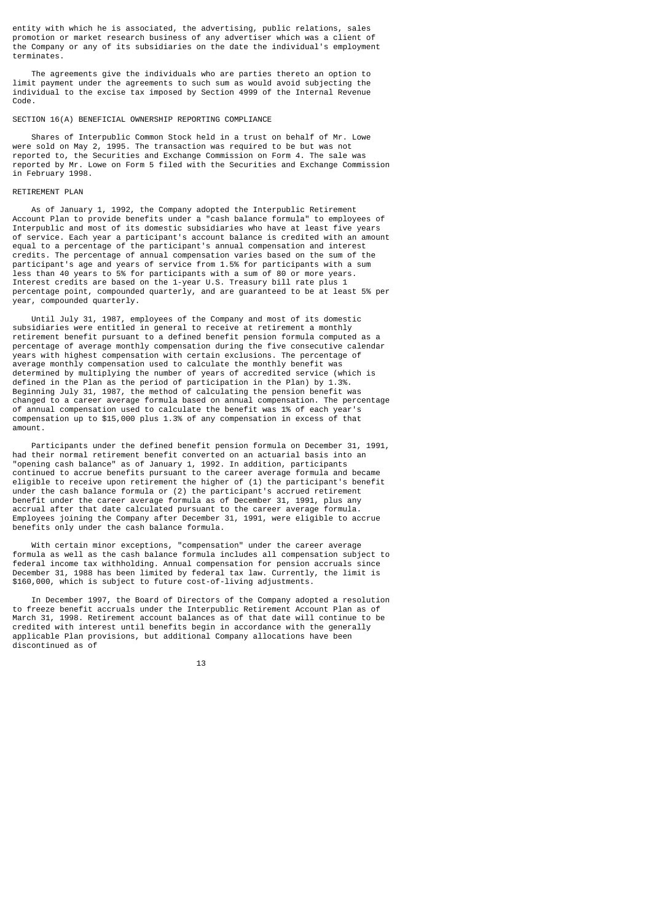entity with which he is associated, the advertising, public relations, sales promotion or market research business of any advertiser which was a client of the Company or any of its subsidiaries on the date the individual's employment terminates.

 The agreements give the individuals who are parties thereto an option to limit payment under the agreements to such sum as would avoid subjecting the individual to the excise tax imposed by Section 4999 of the Internal Revenue Code.

### SECTION 16(A) BENEFICIAL OWNERSHIP REPORTING COMPLIANCE

 Shares of Interpublic Common Stock held in a trust on behalf of Mr. Lowe were sold on May 2, 1995. The transaction was required to be but was not reported to, the Securities and Exchange Commission on Form 4. The sale was reported by Mr. Lowe on Form 5 filed with the Securities and Exchange Commission in February 1998.

# RETIREMENT PLAN

 As of January 1, 1992, the Company adopted the Interpublic Retirement Account Plan to provide benefits under a "cash balance formula" to employees of Interpublic and most of its domestic subsidiaries who have at least five years of service. Each year a participant's account balance is credited with an amount equal to a percentage of the participant's annual compensation and interest credits. The percentage of annual compensation varies based on the sum of the participant's age and years of service from 1.5% for participants with a sum less than 40 years to 5% for participants with a sum of 80 or more years. Interest credits are based on the 1-year U.S. Treasury bill rate plus 1 percentage point, compounded quarterly, and are guaranteed to be at least 5% per year, compounded quarterly.

 Until July 31, 1987, employees of the Company and most of its domestic subsidiaries were entitled in general to receive at retirement a monthly retirement benefit pursuant to a defined benefit pension formula computed as a percentage of average monthly compensation during the five consecutive calendar years with highest compensation with certain exclusions. The percentage of average monthly compensation used to calculate the monthly benefit was determined by multiplying the number of years of accredited service (which is defined in the Plan as the period of participation in the Plan) by 1.3%. Beginning July 31, 1987, the method of calculating the pension benefit was changed to a career average formula based on annual compensation. The percentage of annual compensation used to calculate the benefit was 1% of each year's compensation up to \$15,000 plus 1.3% of any compensation in excess of that amount.

 Participants under the defined benefit pension formula on December 31, 1991, had their normal retirement benefit converted on an actuarial basis into an "opening cash balance" as of January 1, 1992. In addition, participants continued to accrue benefits pursuant to the career average formula and became eligible to receive upon retirement the higher of (1) the participant's benefit under the cash balance formula or (2) the participant's accrued retirement benefit under the career average formula as of December 31, 1991, plus any accrual after that date calculated pursuant to the career average formula. Employees joining the Company after December 31, 1991, were eligible to accrue benefits only under the cash balance formula.

 With certain minor exceptions, "compensation" under the career average formula as well as the cash balance formula includes all compensation subject to federal income tax withholding. Annual compensation for pension accruals since December 31, 1988 has been limited by federal tax law. Currently, the limit is \$160,000, which is subject to future cost-of-living adjustments.

 In December 1997, the Board of Directors of the Company adopted a resolution to freeze benefit accruals under the Interpublic Retirement Account Plan as of March 31, 1998. Retirement account balances as of that date will continue to be credited with interest until benefits begin in accordance with the generally applicable Plan provisions, but additional Company allocations have been discontinued as of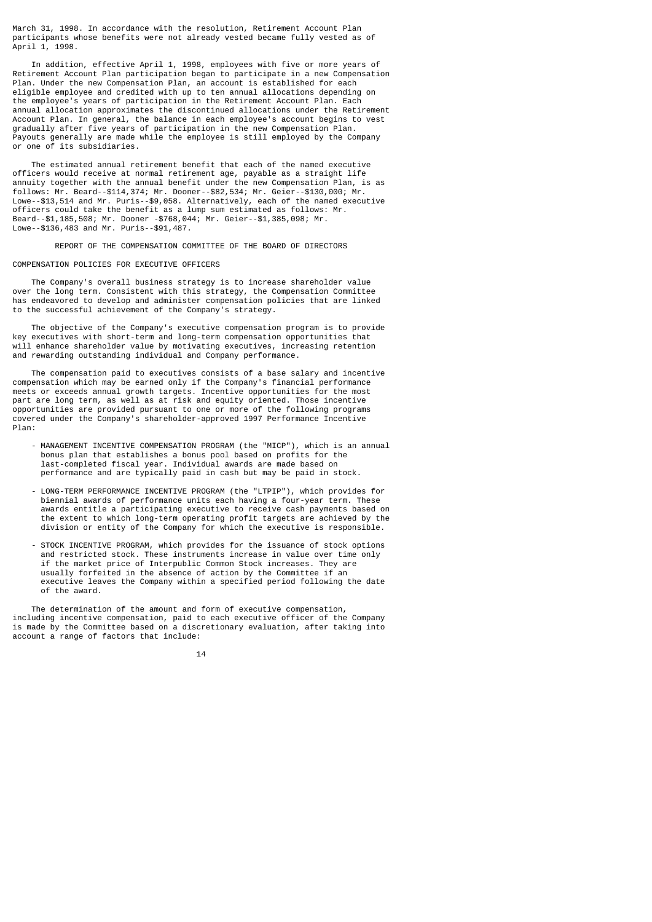March 31, 1998. In accordance with the resolution, Retirement Account Plan participants whose benefits were not already vested became fully vested as of April 1, 1998.

 In addition, effective April 1, 1998, employees with five or more years of Retirement Account Plan participation began to participate in a new Compensation Plan. Under the new Compensation Plan, an account is established for each eligible employee and credited with up to ten annual allocations depending on the employee's years of participation in the Retirement Account Plan. Each annual allocation approximates the discontinued allocations under the Retirement Account Plan. In general, the balance in each employee's account begins to vest gradually after five years of participation in the new Compensation Plan. Payouts generally are made while the employee is still employed by the Company or one of its subsidiaries.

 The estimated annual retirement benefit that each of the named executive officers would receive at normal retirement age, payable as a straight life annuity together with the annual benefit under the new Compensation Plan, is as follows: Mr. Beard--\$114,374; Mr. Dooner--\$82,534; Mr. Geier--\$130,000; Mr. Lowe--\$13,514 and Mr. Puris--\$9,058. Alternatively, each of the named executive officers could take the benefit as a lump sum estimated as follows: Mr. Beard--\$1,185,508; Mr. Dooner -\$768,044; Mr. Geier--\$1,385,098; Mr. Lowe--\$136,483 and Mr. Puris--\$91,487.

REPORT OF THE COMPENSATION COMMITTEE OF THE BOARD OF DIRECTORS

# COMPENSATION POLICIES FOR EXECUTIVE OFFICERS

 The Company's overall business strategy is to increase shareholder value over the long term. Consistent with this strategy, the Compensation Committee has endeavored to develop and administer compensation policies that are linked to the successful achievement of the Company's strategy.

 The objective of the Company's executive compensation program is to provide key executives with short-term and long-term compensation opportunities that will enhance shareholder value by motivating executives, increasing retention and rewarding outstanding individual and Company performance.

 The compensation paid to executives consists of a base salary and incentive compensation which may be earned only if the Company's financial performance meets or exceeds annual growth targets. Incentive opportunities for the most part are long term, as well as at risk and equity oriented. Those incentive opportunities are provided pursuant to one or more of the following programs covered under the Company's shareholder-approved 1997 Performance Incentive Plan:

- MANAGEMENT INCENTIVE COMPENSATION PROGRAM (the "MICP"), which is an annual bonus plan that establishes a bonus pool based on profits for the last-completed fiscal year. Individual awards are made based on performance and are typically paid in cash but may be paid in stock.
- LONG-TERM PERFORMANCE INCENTIVE PROGRAM (the "LTPIP"), which provides for biennial awards of performance units each having a four-year term. These awards entitle a participating executive to receive cash payments based on the extent to which long-term operating profit targets are achieved by the division or entity of the Company for which the executive is responsible.
- STOCK INCENTIVE PROGRAM, which provides for the issuance of stock options and restricted stock. These instruments increase in value over time only if the market price of Interpublic Common Stock increases. They are usually forfeited in the absence of action by the Committee if an executive leaves the Company within a specified period following the date of the award.

 The determination of the amount and form of executive compensation, including incentive compensation, paid to each executive officer of the Company is made by the Committee based on a discretionary evaluation, after taking into account a range of factors that include: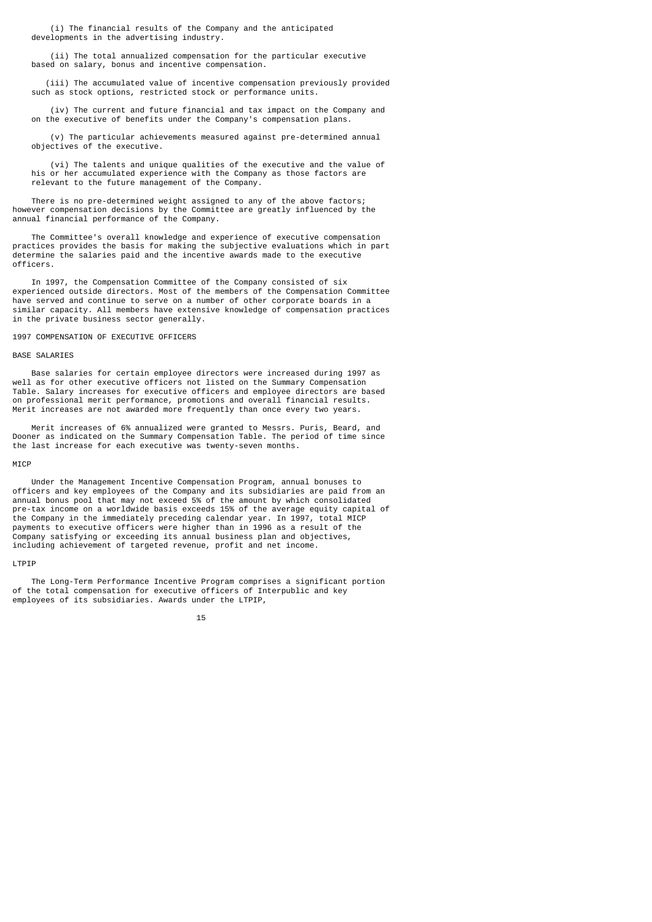(i) The financial results of the Company and the anticipated developments in the advertising industry.

 (ii) The total annualized compensation for the particular executive based on salary, bonus and incentive compensation.

 (iii) The accumulated value of incentive compensation previously provided such as stock options, restricted stock or performance units.

 (iv) The current and future financial and tax impact on the Company and on the executive of benefits under the Company's compensation plans.

 (v) The particular achievements measured against pre-determined annual objectives of the executive.

 (vi) The talents and unique qualities of the executive and the value of his or her accumulated experience with the Company as those factors are relevant to the future management of the Company.

 There is no pre-determined weight assigned to any of the above factors; however compensation decisions by the Committee are greatly influenced by the annual financial performance of the Company.

 The Committee's overall knowledge and experience of executive compensation practices provides the basis for making the subjective evaluations which in part determine the salaries paid and the incentive awards made to the executive officers.

 In 1997, the Compensation Committee of the Company consisted of six experienced outside directors. Most of the members of the Compensation Committee have served and continue to serve on a number of other corporate boards in a similar capacity. All members have extensive knowledge of compensation practices in the private business sector generally.

#### 1997 COMPENSATION OF EXECUTIVE OFFICERS

# BASE SALARIES

 Base salaries for certain employee directors were increased during 1997 as well as for other executive officers not listed on the Summary Compensation Table. Salary increases for executive officers and employee directors are based on professional merit performance, promotions and overall financial results. Merit increases are not awarded more frequently than once every two years.

 Merit increases of 6% annualized were granted to Messrs. Puris, Beard, and Dooner as indicated on the Summary Compensation Table. The period of time since the last increase for each executive was twenty-seven months.

### MICP

 Under the Management Incentive Compensation Program, annual bonuses to officers and key employees of the Company and its subsidiaries are paid from an annual bonus pool that may not exceed 5% of the amount by which consolidated pre-tax income on a worldwide basis exceeds 15% of the average equity capital of the Company in the immediately preceding calendar year. In 1997, total MICP payments to executive officers were higher than in 1996 as a result of the Company satisfying or exceeding its annual business plan and objectives, including achievement of targeted revenue, profit and net income.

### LTPIP

 The Long-Term Performance Incentive Program comprises a significant portion of the total compensation for executive officers of Interpublic and key employees of its subsidiaries. Awards under the LTPIP,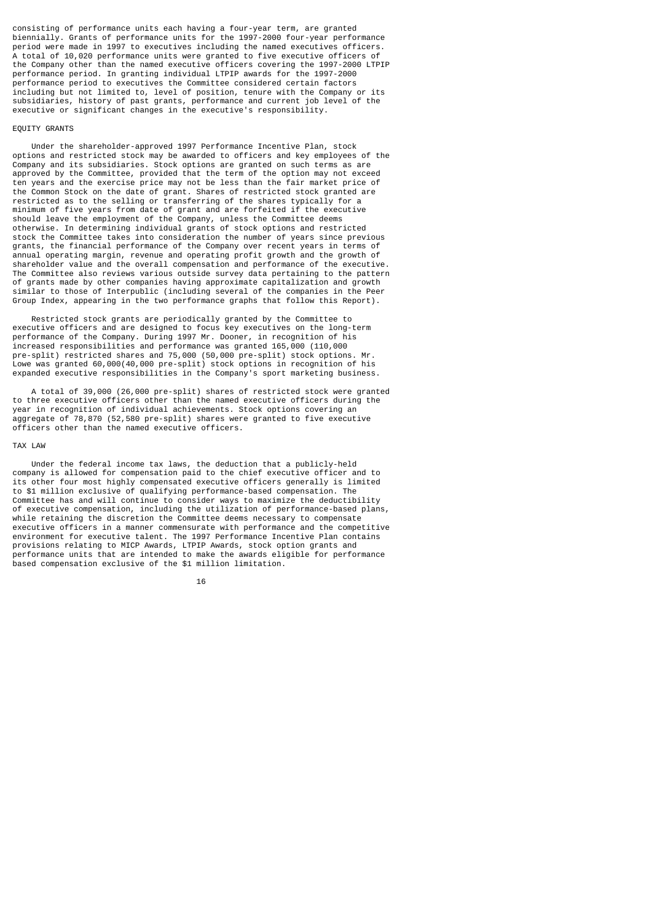consisting of performance units each having a four-year term, are granted biennially. Grants of performance units for the 1997-2000 four-year performance period were made in 1997 to executives including the named executives officers. A total of 10,020 performance units were granted to five executive officers of the Company other than the named executive officers covering the 1997-2000 LTPIP performance period. In granting individual LTPIP awards for the 1997-2000 performance period to executives the Committee considered certain factors including but not limited to, level of position, tenure with the Company or its subsidiaries, history of past grants, performance and current job level of the executive or significant changes in the executive's responsibility.

# EQUITY GRANTS

 Under the shareholder-approved 1997 Performance Incentive Plan, stock options and restricted stock may be awarded to officers and key employees of the Company and its subsidiaries. Stock options are granted on such terms as are approved by the Committee, provided that the term of the option may not exceed ten years and the exercise price may not be less than the fair market price of the Common Stock on the date of grant. Shares of restricted stock granted are restricted as to the selling or transferring of the shares typically for a minimum of five years from date of grant and are forfeited if the executive should leave the employment of the Company, unless the Committee deems otherwise. In determining individual grants of stock options and restricted stock the Committee takes into consideration the number of years since previous grants, the financial performance of the Company over recent years in terms of annual operating margin, revenue and operating profit growth and the growth of shareholder value and the overall compensation and performance of the executive. The Committee also reviews various outside survey data pertaining to the pattern of grants made by other companies having approximate capitalization and growth similar to those of Interpublic (including several of the companies in the Peer Group Index, appearing in the two performance graphs that follow this Report).

 Restricted stock grants are periodically granted by the Committee to executive officers and are designed to focus key executives on the long-term performance of the Company. During 1997 Mr. Dooner, in recognition of his increased responsibilities and performance was granted 165,000 (110,000 pre-split) restricted shares and 75,000 (50,000 pre-split) stock options. Mr. Lowe was granted 60,000(40,000 pre-split) stock options in recognition of his expanded executive responsibilities in the Company's sport marketing business.

 A total of 39,000 (26,000 pre-split) shares of restricted stock were granted to three executive officers other than the named executive officers during the year in recognition of individual achievements. Stock options covering an aggregate of 78,870 (52,580 pre-split) shares were granted to five executive officers other than the named executive officers.

### TAX LAW

 Under the federal income tax laws, the deduction that a publicly-held company is allowed for compensation paid to the chief executive officer and to its other four most highly compensated executive officers generally is limited to \$1 million exclusive of qualifying performance-based compensation. The Committee has and will continue to consider ways to maximize the deductibility of executive compensation, including the utilization of performance-based plans, while retaining the discretion the Committee deems necessary to compensate executive officers in a manner commensurate with performance and the competitive environment for executive talent. The 1997 Performance Incentive Plan contains provisions relating to MICP Awards, LTPIP Awards, stock option grants and performance units that are intended to make the awards eligible for performance based compensation exclusive of the \$1 million limitation.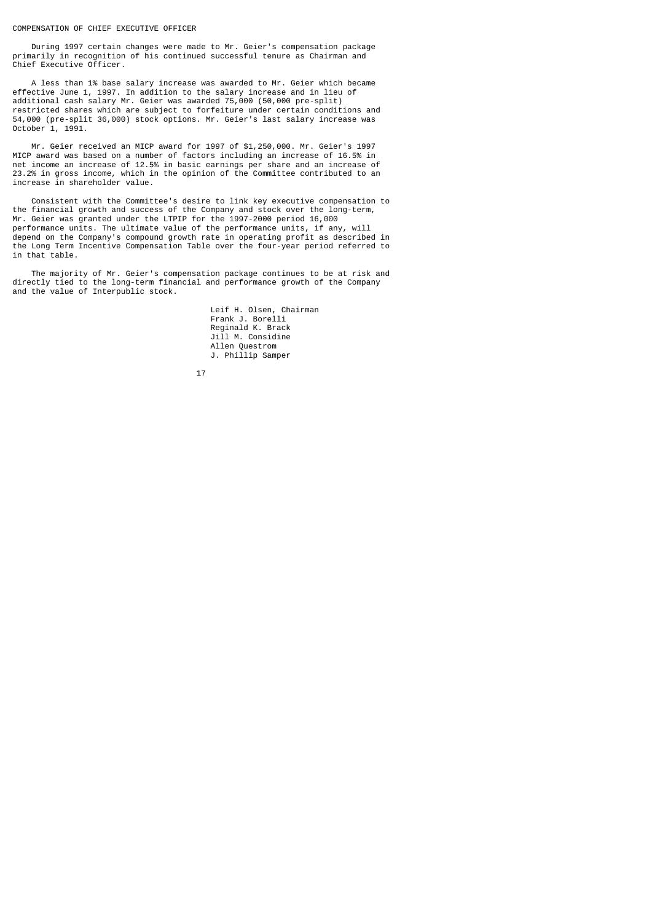### COMPENSATION OF CHIEF EXECUTIVE OFFICER

 During 1997 certain changes were made to Mr. Geier's compensation package primarily in recognition of his continued successful tenure as Chairman and Chief Executive Officer.

 A less than 1% base salary increase was awarded to Mr. Geier which became effective June 1, 1997. In addition to the salary increase and in lieu of additional cash salary Mr. Geier was awarded 75,000 (50,000 pre-split) restricted shares which are subject to forfeiture under certain conditions and 54,000 (pre-split 36,000) stock options. Mr. Geier's last salary increase was October 1, 1991.

 Mr. Geier received an MICP award for 1997 of \$1,250,000. Mr. Geier's 1997 MICP award was based on a number of factors including an increase of 16.5% in net income an increase of 12.5% in basic earnings per share and an increase of 23.2% in gross income, which in the opinion of the Committee contributed to an increase in shareholder value.

 Consistent with the Committee's desire to link key executive compensation to the financial growth and success of the Company and stock over the long-term, Mr. Geier was granted under the LTPIP for the 1997-2000 period 16,000 performance units. The ultimate value of the performance units, if any, will depend on the Company's compound growth rate in operating profit as described in the Long Term Incentive Compensation Table over the four-year period referred to in that table.

 The majority of Mr. Geier's compensation package continues to be at risk and directly tied to the long-term financial and performance growth of the Company and the value of Interpublic stock.

> Leif H. Olsen, Chairman Frank J. Borelli Reginald K. Brack Jill M. Considine Allen Questrom J. Phillip Samper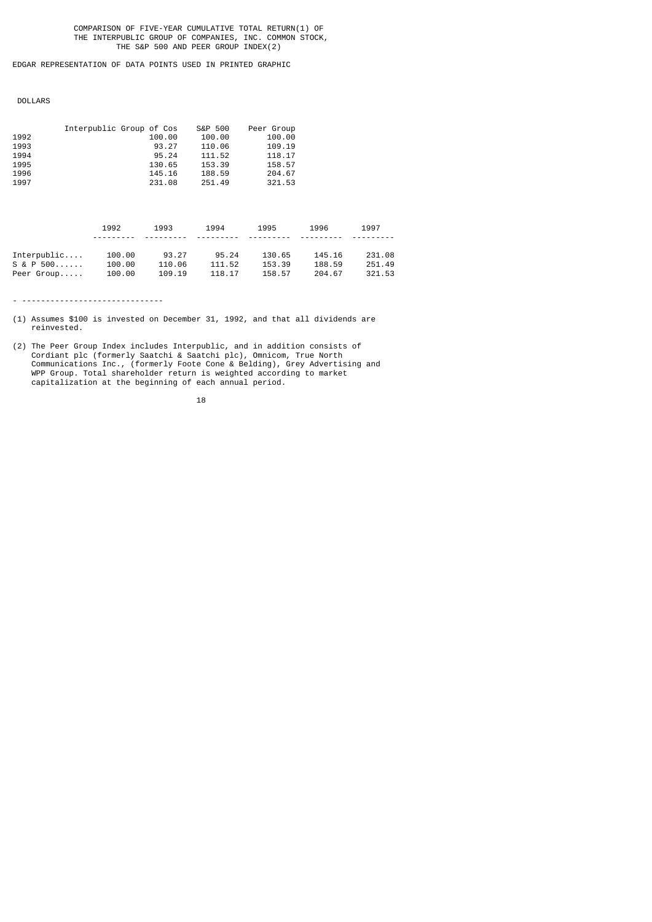COMPARISON OF FIVE-YEAR CUMULATIVE TOTAL RETURN(1) OF THE INTERPUBLIC GROUP OF COMPANIES, INC. COMMON STOCK, THE S&P 500 AND PEER GROUP INDEX(2)

EDGAR REPRESENTATION OF DATA POINTS USED IN PRINTED GRAPHIC

DOLLARS

| 1992<br>1993<br>1994<br>1995<br>1996<br>1997 | Interpublic Group of Cos   | 100.00<br>93.27<br>95.24<br>130.65<br>145.16<br>231.08 | S&P 500<br>100.00<br>110.06<br>111.52<br>153.39<br>188.59<br>251.49 | Peer Group<br>100.00<br>109.19<br>118.17<br>158.57<br>204.67<br>321.53 |                            |                            |
|----------------------------------------------|----------------------------|--------------------------------------------------------|---------------------------------------------------------------------|------------------------------------------------------------------------|----------------------------|----------------------------|
|                                              | 1992                       | 1993                                                   | 1994                                                                | 1995                                                                   | 1996                       | 1997                       |
| Interpublic<br>$S & P$ 500<br>Peer Group     | 100.00<br>100.00<br>100.00 | 93.27<br>110.06<br>109.19                              | 95.24<br>111.52<br>118.17                                           | 130.65<br>153.39<br>158.57                                             | 145.16<br>188.59<br>204.67 | 231.08<br>251.49<br>321.53 |

- ------------------------------

(1) Assumes \$100 is invested on December 31, 1992, and that all dividends are reinvested.

<sup>(2)</sup> The Peer Group Index includes Interpublic, and in addition consists of Cordiant plc (formerly Saatchi & Saatchi plc), Omnicom, True North Communications Inc., (formerly Foote Cone & Belding), Grey Advertising and WPP Group. Total shareholder return is weighted according to market capitalization at the beginning of each annual period.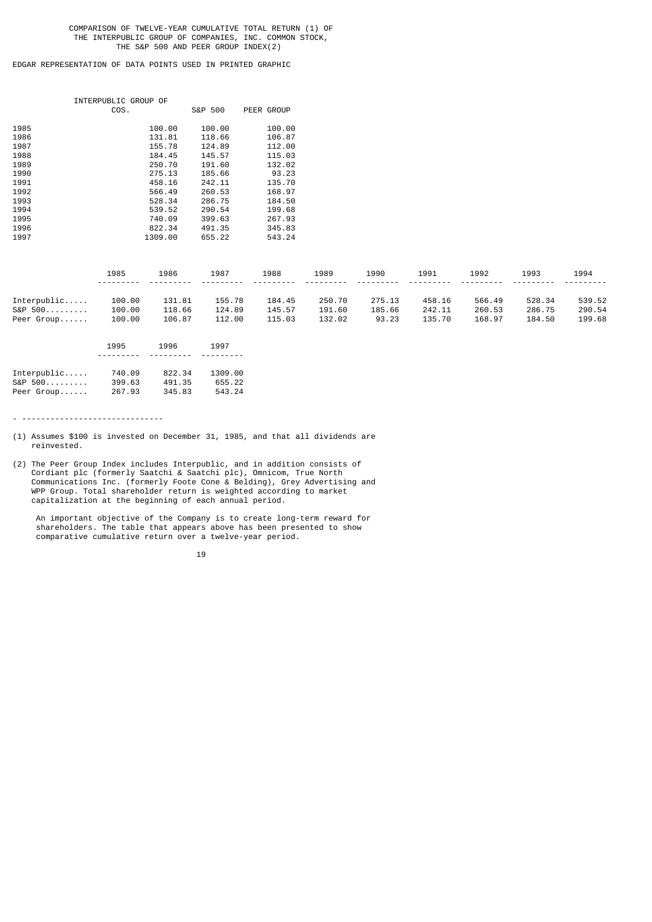### COMPARISON OF TWELVE-YEAR CUMULATIVE TOTAL RETURN (1) OF THE INTERPUBLIC GROUP OF COMPANIES, INC. COMMON STOCK, THE S&P 500 AND PEER GROUP INDEX(2)

# EDGAR REPRESENTATION OF DATA POINTS USED IN PRINTED GRAPHIC

|      | INTERPUBLIC GROUP OF<br>COS. | S&P 500 | PEER GROUP |
|------|------------------------------|---------|------------|
|      |                              |         |            |
| 1985 | 100.00                       | 100.00  | 100.00     |
| 1986 | 131.81                       | 118.66  | 106.87     |
| 1987 | 155.78                       | 124.89  | 112.00     |
| 1988 | 184.45                       | 145.57  | 115.03     |
| 1989 | 250.70                       | 191.60  | 132.02     |
| 1990 | 275.13                       | 185.66  | 93.23      |
| 1991 | 458.16                       | 242.11  | 135.70     |
| 1992 | 566.49                       | 260.53  | 168.97     |
| 1993 | 528.34                       | 286.75  | 184.50     |
| 1994 | 539.52                       | 290.54  | 199.68     |
| 1995 | 740.09                       | 399.63  | 267.93     |
| 1996 | 822.34                       | 491.35  | 345.83     |
| 1997 | 1309.00                      | 655.22  | 543.24     |

|               | 1985      | 1986   | 1987   | 1988   | 1989   | 1990   | 1991   | 1992   | 1993   | 1994   |
|---------------|-----------|--------|--------|--------|--------|--------|--------|--------|--------|--------|
|               | --------- |        |        |        |        |        |        |        |        |        |
| $Interpublic$ | 100.00    | 131.81 | 155.78 | 184.45 | 250.70 | 275.13 | 458.16 | 566.49 | 528.34 | 539.52 |
| S&P 500       | 100.00    | 118.66 | 124.89 | 145.57 | 191.60 | 185.66 | 242.11 | 260.53 | 286.75 | 290.54 |
| Peer Group    | 100.00    | 106.87 | 112.00 | 115.03 | 132.02 | 93.23  | 135.70 | 168.97 | 184.50 | 199.68 |

|               | 1995     | 1996   | 1997            |
|---------------|----------|--------|-----------------|
|               | -------- | .      | - - - - - - - - |
| $Interpublic$ | 740.09   | 822.34 | 1309.00         |
| S&P 500       | 399.63   | 491.35 | 655.22          |
| Peer Group    | 267.93   | 345.83 | 543.24          |

- ------------------------------

- (1) Assumes \$100 is invested on December 31, 1985, and that all dividends are reinvested.
- (2) The Peer Group Index includes Interpublic, and in addition consists of Cordiant plc (formerly Saatchi & Saatchi plc), Omnicom, True North Communications Inc. (formerly Foote Cone & Belding), Grey Advertising and WPP Group. Total shareholder return is weighted according to market capitalization at the beginning of each annual period.

 An important objective of the Company is to create long-term reward for shareholders. The table that appears above has been presented to show comparative cumulative return over a twelve-year period.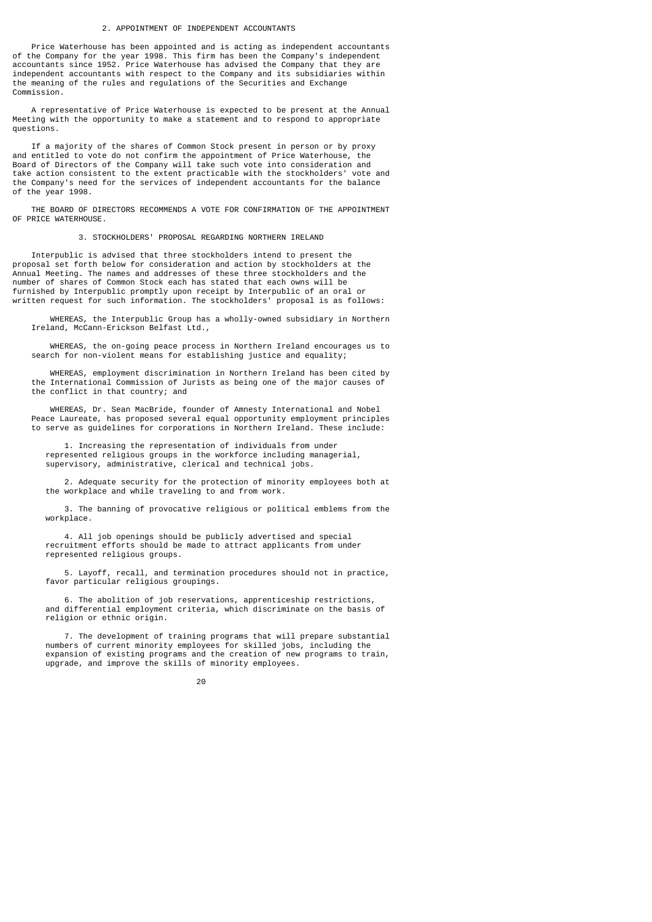### 2. APPOINTMENT OF INDEPENDENT ACCOUNTANTS

 Price Waterhouse has been appointed and is acting as independent accountants of the Company for the year 1998. This firm has been the Company's independent accountants since 1952. Price Waterhouse has advised the Company that they are independent accountants with respect to the Company and its subsidiaries within the meaning of the rules and regulations of the Securities and Exchange Commission.

 A representative of Price Waterhouse is expected to be present at the Annual Meeting with the opportunity to make a statement and to respond to appropriate questions.

 If a majority of the shares of Common Stock present in person or by proxy and entitled to vote do not confirm the appointment of Price Waterhouse, the Board of Directors of the Company will take such vote into consideration and take action consistent to the extent practicable with the stockholders' vote and the Company's need for the services of independent accountants for the balance of the year 1998.

 THE BOARD OF DIRECTORS RECOMMENDS A VOTE FOR CONFIRMATION OF THE APPOINTMENT OF PRICE WATERHOUSE.

3. STOCKHOLDERS' PROPOSAL REGARDING NORTHERN IRELAND

 Interpublic is advised that three stockholders intend to present the proposal set forth below for consideration and action by stockholders at the Annual Meeting. The names and addresses of these three stockholders and the number of shares of Common Stock each has stated that each owns will be furnished by Interpublic promptly upon receipt by Interpublic of an oral or written request for such information. The stockholders' proposal is as follows:

 WHEREAS, the Interpublic Group has a wholly-owned subsidiary in Northern Ireland, McCann-Erickson Belfast Ltd.,

 WHEREAS, the on-going peace process in Northern Ireland encourages us to search for non-violent means for establishing justice and equality;

 WHEREAS, employment discrimination in Northern Ireland has been cited by the International Commission of Jurists as being one of the major causes of the conflict in that country; and

 WHEREAS, Dr. Sean MacBride, founder of Amnesty International and Nobel Peace Laureate, has proposed several equal opportunity employment principles to serve as guidelines for corporations in Northern Ireland. These include:

 1. Increasing the representation of individuals from under represented religious groups in the workforce including managerial, supervisory, administrative, clerical and technical jobs.

 2. Adequate security for the protection of minority employees both at the workplace and while traveling to and from work.

 3. The banning of provocative religious or political emblems from the workplace.

 4. All job openings should be publicly advertised and special recruitment efforts should be made to attract applicants from under represented religious groups.

 5. Layoff, recall, and termination procedures should not in practice, favor particular religious groupings.

 6. The abolition of job reservations, apprenticeship restrictions, and differential employment criteria, which discriminate on the basis of religion or ethnic origin.

 7. The development of training programs that will prepare substantial numbers of current minority employees for skilled jobs, including the expansion of existing programs and the creation of new programs to train, upgrade, and improve the skills of minority employees.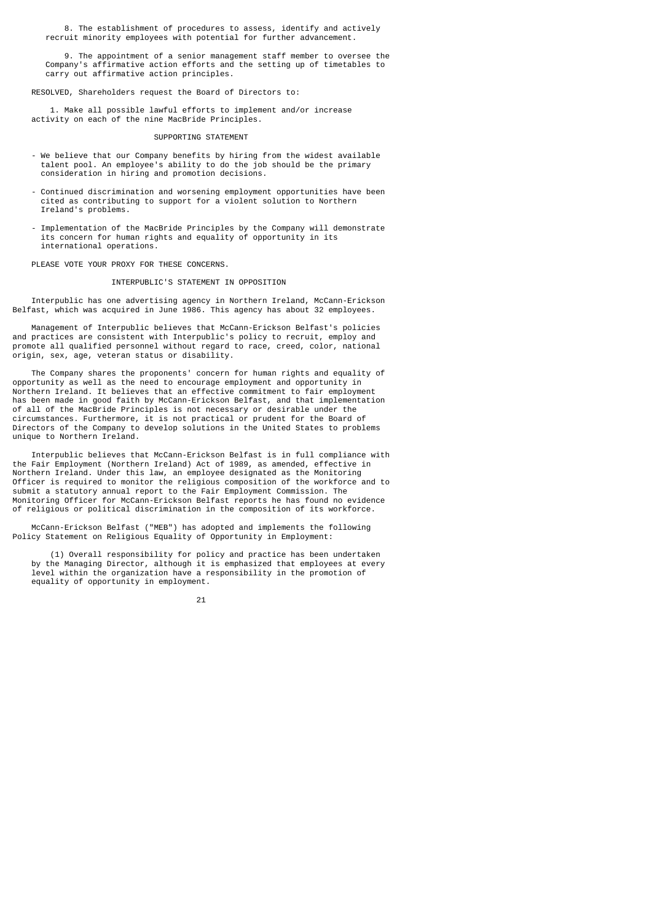8. The establishment of procedures to assess, identify and actively recruit minority employees with potential for further advancement.

 9. The appointment of a senior management staff member to oversee the Company's affirmative action efforts and the setting up of timetables to carry out affirmative action principles.

RESOLVED, Shareholders request the Board of Directors to:

 1. Make all possible lawful efforts to implement and/or increase activity on each of the nine MacBride Principles.

### SUPPORTING STATEMENT

- We believe that our Company benefits by hiring from the widest available talent pool. An employee's ability to do the job should be the primary consideration in hiring and promotion decisions.
- Continued discrimination and worsening employment opportunities have been cited as contributing to support for a violent solution to Northern Ireland's problems.
- Implementation of the MacBride Principles by the Company will demonstrate its concern for human rights and equality of opportunity in its international operations.

PLEASE VOTE YOUR PROXY FOR THESE CONCERNS.

### INTERPUBLIC'S STATEMENT IN OPPOSITION

 Interpublic has one advertising agency in Northern Ireland, McCann-Erickson Belfast, which was acquired in June 1986. This agency has about 32 employees.

 Management of Interpublic believes that McCann-Erickson Belfast's policies and practices are consistent with Interpublic's policy to recruit, employ and promote all qualified personnel without regard to race, creed, color, national origin, sex, age, veteran status or disability.

 The Company shares the proponents' concern for human rights and equality of opportunity as well as the need to encourage employment and opportunity in Northern Ireland. It believes that an effective commitment to fair employment has been made in good faith by McCann-Erickson Belfast, and that implementation of all of the MacBride Principles is not necessary or desirable under the circumstances. Furthermore, it is not practical or prudent for the Board of Directors of the Company to develop solutions in the United States to problems unique to Northern Ireland.

 Interpublic believes that McCann-Erickson Belfast is in full compliance with the Fair Employment (Northern Ireland) Act of 1989, as amended, effective in Northern Ireland. Under this law, an employee designated as the Monitoring Officer is required to monitor the religious composition of the workforce and to submit a statutory annual report to the Fair Employment Commission. The Monitoring Officer for McCann-Erickson Belfast reports he has found no evidence of religious or political discrimination in the composition of its workforce.

 McCann-Erickson Belfast ("MEB") has adopted and implements the following Policy Statement on Religious Equality of Opportunity in Employment:

 (1) Overall responsibility for policy and practice has been undertaken by the Managing Director, although it is emphasized that employees at every level within the organization have a responsibility in the promotion of equality of opportunity in employment.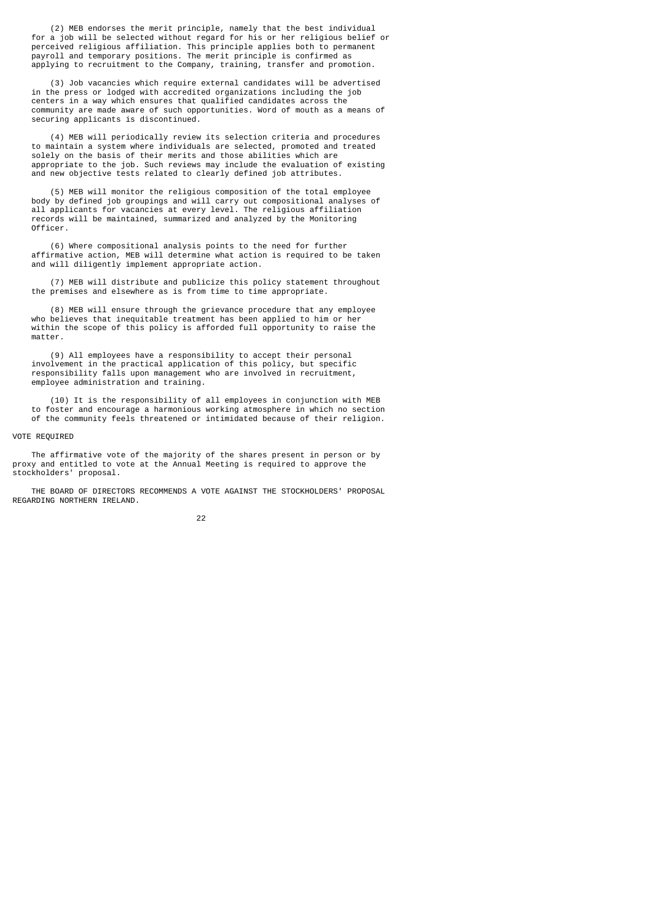(2) MEB endorses the merit principle, namely that the best individual for a job will be selected without regard for his or her religious belief or perceived religious affiliation. This principle applies both to permanent payroll and temporary positions. The merit principle is confirmed as applying to recruitment to the Company, training, transfer and promotion.

 (3) Job vacancies which require external candidates will be advertised in the press or lodged with accredited organizations including the job centers in a way which ensures that qualified candidates across the community are made aware of such opportunities. Word of mouth as a means of securing applicants is discontinued.

 (4) MEB will periodically review its selection criteria and procedures to maintain a system where individuals are selected, promoted and treated solely on the basis of their merits and those abilities which are appropriate to the job. Such reviews may include the evaluation of existing and new objective tests related to clearly defined job attributes.

 (5) MEB will monitor the religious composition of the total employee body by defined job groupings and will carry out compositional analyses of all applicants for vacancies at every level. The religious affiliation records will be maintained, summarized and analyzed by the Monitoring Officer.

 (6) Where compositional analysis points to the need for further affirmative action, MEB will determine what action is required to be taken and will diligently implement appropriate action.

 (7) MEB will distribute and publicize this policy statement throughout the premises and elsewhere as is from time to time appropriate.

 (8) MEB will ensure through the grievance procedure that any employee who believes that inequitable treatment has been applied to him or her within the scope of this policy is afforded full opportunity to raise the matter.

 (9) All employees have a responsibility to accept their personal involvement in the practical application of this policy, but specific responsibility falls upon management who are involved in recruitment, employee administration and training.

 (10) It is the responsibility of all employees in conjunction with MEB to foster and encourage a harmonious working atmosphere in which no section of the community feels threatened or intimidated because of their religion.

### VOTE REQUIRED

 The affirmative vote of the majority of the shares present in person or by proxy and entitled to vote at the Annual Meeting is required to approve the stockholders' proposal.

 THE BOARD OF DIRECTORS RECOMMENDS A VOTE AGAINST THE STOCKHOLDERS' PROPOSAL REGARDING NORTHERN IRELAND.

#### <u>22</u>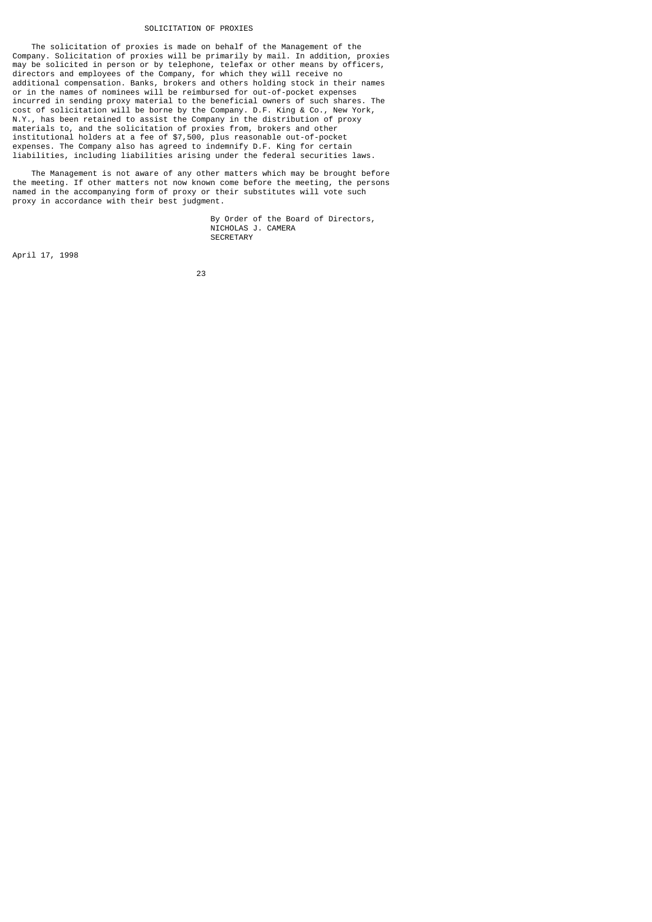### SOLICITATION OF PROXIES

 The solicitation of proxies is made on behalf of the Management of the Company. Solicitation of proxies will be primarily by mail. In addition, proxies may be solicited in person or by telephone, telefax or other means by officers, directors and employees of the Company, for which they will receive no additional compensation. Banks, brokers and others holding stock in their names or in the names of nominees will be reimbursed for out-of-pocket expenses incurred in sending proxy material to the beneficial owners of such shares. The cost of solicitation will be borne by the Company. D.F. King & Co., New York, N.Y., has been retained to assist the Company in the distribution of proxy materials to, and the solicitation of proxies from, brokers and other institutional holders at a fee of \$7,500, plus reasonable out-of-pocket expenses. The Company also has agreed to indemnify D.F. King for certain liabilities, including liabilities arising under the federal securities laws.

 The Management is not aware of any other matters which may be brought before the meeting. If other matters not now known come before the meeting, the persons named in the accompanying form of proxy or their substitutes will vote such proxy in accordance with their best judgment.

> By Order of the Board of Directors, NICHOLAS J. CAMERA **SECRETARY**

April 17, 1998

<u>23 and 23 and 23 and 23 and 23 and 23 and 23 and 23 and 23 and 23 and 23 and 23 and 23 and 23 and 23 and 23 and 23 and 23 and 23 and 23 and 23 and 23 and 23 and 23 and 23 and 23 and 23 and 23 and 23 and 23 and 23 and 23 a</u>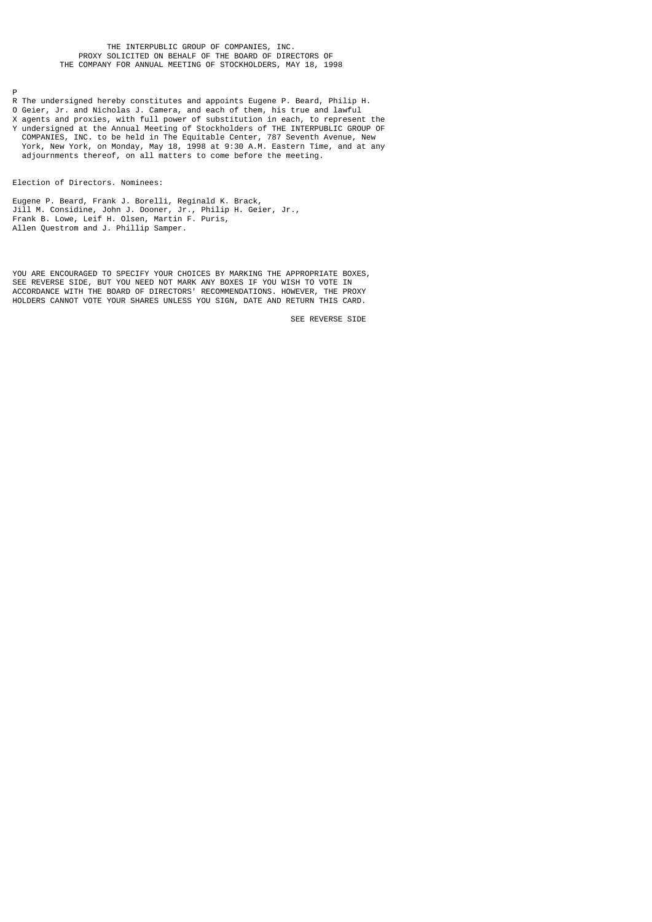### THE INTERPUBLIC GROUP OF COMPANIES, INC. PROXY SOLICITED ON BEHALF OF THE BOARD OF DIRECTORS OF THE COMPANY FOR ANNUAL MEETING OF STOCKHOLDERS, MAY 18, 1998

P

- R The undersigned hereby constitutes and appoints Eugene P. Beard, Philip H.
- O Geier, Jr. and Nicholas J. Camera, and each of them, his true and lawful
- X agents and proxies, with full power of substitution in each, to represent the Y undersigned at the Annual Meeting of Stockholders of THE INTERPUBLIC GROUP OF COMPANIES, INC. to be held in The Equitable Center, 787 Seventh Avenue, New
- York, New York, on Monday, May 18, 1998 at 9:30 A.M. Eastern Time, and at any adjournments thereof, on all matters to come before the meeting.

Election of Directors. Nominees:

Eugene P. Beard, Frank J. Borelli, Reginald K. Brack, Jill M. Considine, John J. Dooner, Jr., Philip H. Geier, Jr., Frank B. Lowe, Leif H. Olsen, Martin F. Puris, Allen Questrom and J. Phillip Samper.

YOU ARE ENCOURAGED TO SPECIFY YOUR CHOICES BY MARKING THE APPROPRIATE BOXES, SEE REVERSE SIDE, BUT YOU NEED NOT MARK ANY BOXES IF YOU WISH TO VOTE IN ACCORDANCE WITH THE BOARD OF DIRECTORS' RECOMMENDATIONS. HOWEVER, THE PROXY HOLDERS CANNOT VOTE YOUR SHARES UNLESS YOU SIGN, DATE AND RETURN THIS CARD.

SEE REVERSE SIDE